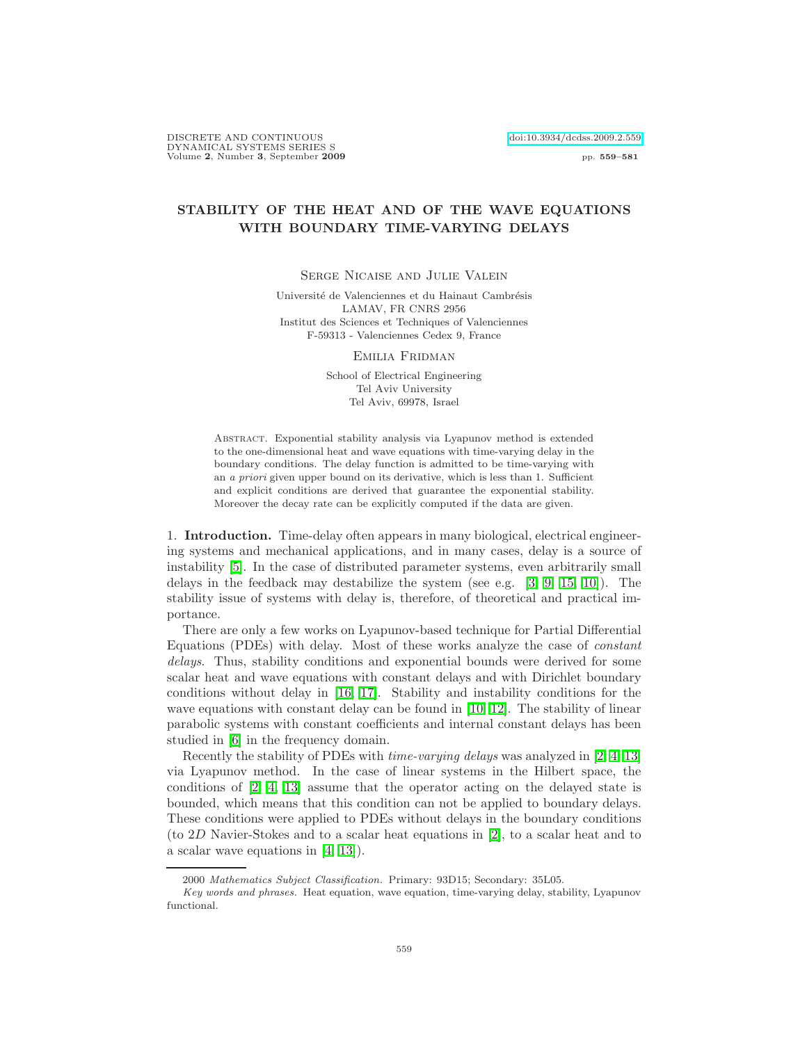DISCRETE AND CONTINUOUS [doi:10.3934/dcdss.2009.2.559](http://dx.doi.org/10.3934/dcdss.2009.2.559) DYNAMICAL SYSTEMS SERIES S Volume 2, Number 3, September 2009 pp. 559–581

## STABILITY OF THE HEAT AND OF THE WAVE EQUATIONS WITH BOUNDARY TIME-VARYING DELAYS

Serge Nicaise and Julie Valein

Université de Valenciennes et du Hainaut Cambrésis LAMAV, FR CNRS 2956 Institut des Sciences et Techniques of Valenciennes F-59313 - Valenciennes Cedex 9, France

Emilia Fridman

School of Electrical Engineering Tel Aviv University Tel Aviv, 69978, Israel

Abstract. Exponential stability analysis via Lyapunov method is extended to the one-dimensional heat and wave equations with time-varying delay in the boundary conditions. The delay function is admitted to be time-varying with an a priori given upper bound on its derivative, which is less than 1. Sufficient and explicit conditions are derived that guarantee the exponential stability. Moreover the decay rate can be explicitly computed if the data are given.

1. Introduction. Time-delay often appears in many biological, electrical engineering systems and mechanical applications, and in many cases, delay is a source of instability [\[5\]](#page-21-0). In the case of distributed parameter systems, even arbitrarily small delays in the feedback may destabilize the system (see e.g. [\[3,](#page-21-1) [9,](#page-21-2) [15,](#page-22-0) [10\]](#page-21-3)). The stability issue of systems with delay is, therefore, of theoretical and practical importance.

There are only a few works on Lyapunov-based technique for Partial Differential Equations (PDEs) with delay. Most of these works analyze the case of constant delays. Thus, stability conditions and exponential bounds were derived for some scalar heat and wave equations with constant delays and with Dirichlet boundary conditions without delay in [\[16,](#page-22-1) [17\]](#page-22-2). Stability and instability conditions for the wave equations with constant delay can be found in [\[10,](#page-21-3) [12\]](#page-22-3). The stability of linear parabolic systems with constant coefficients and internal constant delays has been studied in [\[6\]](#page-21-4) in the frequency domain.

Recently the stability of PDEs with *time-varying delays* was analyzed in [\[2,](#page-21-5) [4,](#page-21-6) [13\]](#page-22-4) via Lyapunov method. In the case of linear systems in the Hilbert space, the conditions of [\[2,](#page-21-5) [4,](#page-21-6) [13\]](#page-22-4) assume that the operator acting on the delayed state is bounded, which means that this condition can not be applied to boundary delays. These conditions were applied to PDEs without delays in the boundary conditions (to 2D Navier-Stokes and to a scalar heat equations in [\[2\]](#page-21-5), to a scalar heat and to a scalar wave equations in [\[4,](#page-21-6) [13\]](#page-22-4)).

<sup>2000</sup> Mathematics Subject Classification. Primary: 93D15; Secondary: 35L05.

Key words and phrases. Heat equation, wave equation, time-varying delay, stability, Lyapunov functional.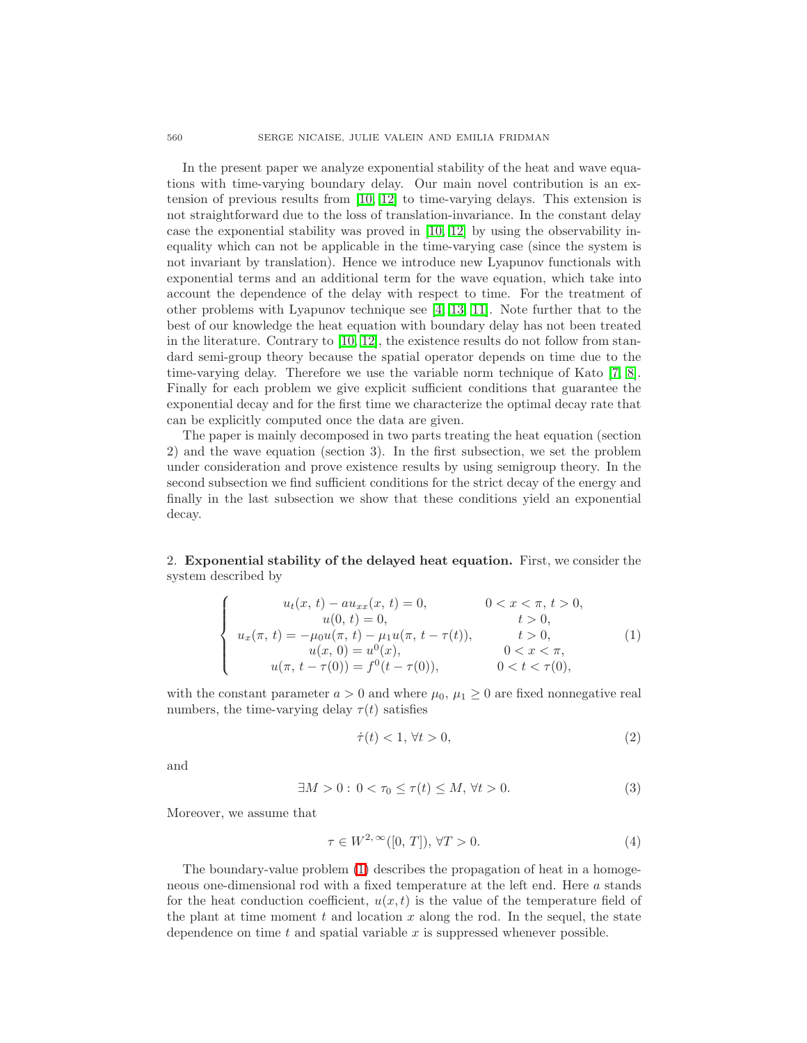In the present paper we analyze exponential stability of the heat and wave equations with time-varying boundary delay. Our main novel contribution is an extension of previous results from [\[10,](#page-21-3) [12\]](#page-22-3) to time-varying delays. This extension is not straightforward due to the loss of translation-invariance. In the constant delay case the exponential stability was proved in [\[10,](#page-21-3) [12\]](#page-22-3) by using the observability inequality which can not be applicable in the time-varying case (since the system is not invariant by translation). Hence we introduce new Lyapunov functionals with exponential terms and an additional term for the wave equation, which take into account the dependence of the delay with respect to time. For the treatment of other problems with Lyapunov technique see [\[4,](#page-21-6) [13,](#page-22-4) [11\]](#page-22-5). Note further that to the best of our knowledge the heat equation with boundary delay has not been treated in the literature. Contrary to [\[10,](#page-21-3) [12\]](#page-22-3), the existence results do not follow from standard semi-group theory because the spatial operator depends on time due to the time-varying delay. Therefore we use the variable norm technique of Kato [\[7,](#page-21-7) [8\]](#page-21-8). Finally for each problem we give explicit sufficient conditions that guarantee the exponential decay and for the first time we characterize the optimal decay rate that can be explicitly computed once the data are given.

The paper is mainly decomposed in two parts treating the heat equation (section 2) and the wave equation (section 3). In the first subsection, we set the problem under consideration and prove existence results by using semigroup theory. In the second subsection we find sufficient conditions for the strict decay of the energy and finally in the last subsection we show that these conditions yield an exponential decay.

2. Exponential stability of the delayed heat equation. First, we consider the system described by

$$
\begin{cases}\n u_t(x, t) - au_{xx}(x, t) = 0, & 0 < x < \pi, t > 0, \\
 u(0, t) = 0, & t > 0, \\
 u_x(\pi, t) = -\mu_0 u(\pi, t) - \mu_1 u(\pi, t - \tau(t)), & t > 0, \\
 u(x, 0) = u^0(x), & 0 < x < \pi, \\
 u(\pi, t - \tau(0)) = f^0(t - \tau(0)), & 0 < t < \tau(0),\n\end{cases}
$$
\n(1)

<span id="page-1-0"></span>with the constant parameter  $a > 0$  and where  $\mu_0$ ,  $\mu_1 \geq 0$  are fixed nonnegative real numbers, the time-varying delay  $\tau(t)$  satisfies

$$
\dot{\tau}(t) < 1, \, \forall t > 0,\tag{2}
$$

<span id="page-1-2"></span>and

<span id="page-1-3"></span>
$$
\exists M > 0 : 0 < \tau_0 \le \tau(t) \le M, \forall t > 0. \tag{3}
$$

<span id="page-1-1"></span>Moreover, we assume that

$$
\tau \in W^{2,\infty}([0,T]), \forall T > 0.
$$
\n
$$
(4)
$$

The boundary-value problem [\(1\)](#page-1-0) describes the propagation of heat in a homogeneous one-dimensional rod with a fixed temperature at the left end. Here a stands for the heat conduction coefficient,  $u(x, t)$  is the value of the temperature field of the plant at time moment t and location x along the rod. In the sequel, the state dependence on time  $t$  and spatial variable  $x$  is suppressed whenever possible.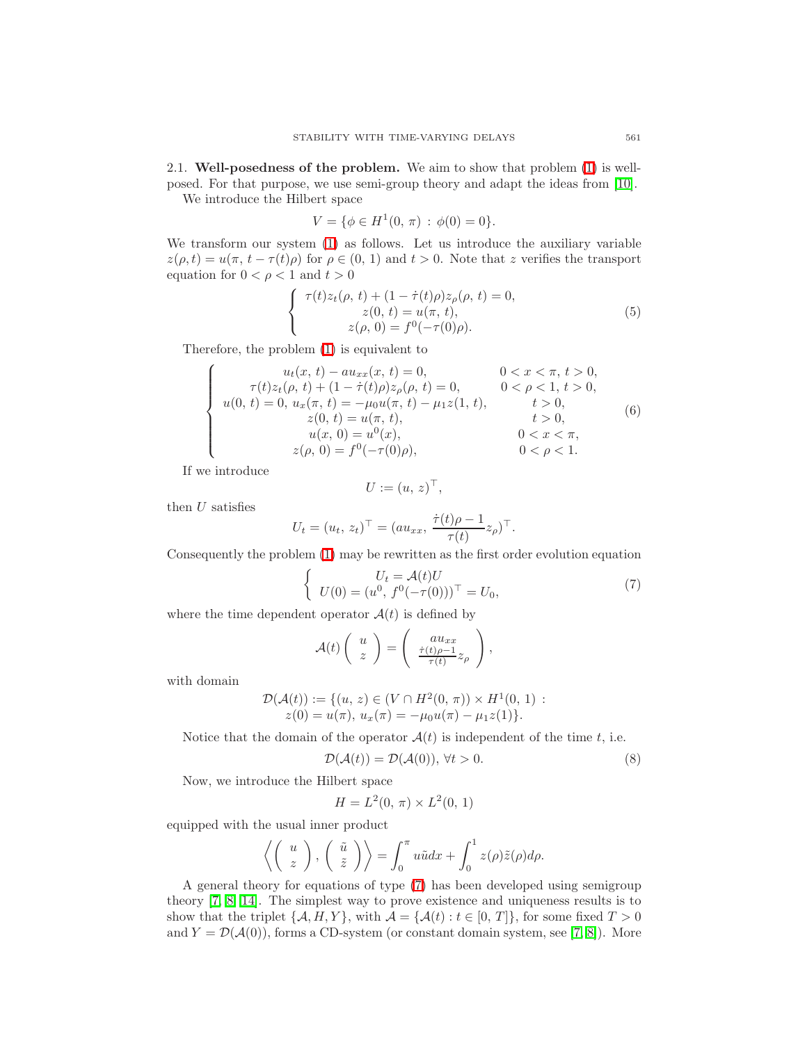2.1. Well-posedness of the problem. We aim to show that problem [\(1\)](#page-1-0) is wellposed. For that purpose, we use semi-group theory and adapt the ideas from [\[10\]](#page-21-3).

We introduce the Hilbert space

$$
V = \{ \phi \in H^1(0, \pi) : \phi(0) = 0 \}.
$$

We transform our system [\(1\)](#page-1-0) as follows. Let us introduce the auxiliary variable  $z(\rho, t) = u(\pi, t - \tau(t))\rho$  for  $\rho \in (0, 1)$  and  $t > 0$ . Note that z verifies the transport equation for  $0 < \rho < 1$  and  $t > 0$ 

$$
\begin{cases}\n\tau(t)z_t(\rho, t) + (1 - \dot{\tau}(t)\rho)z_\rho(\rho, t) = 0, \\
z(0, t) = u(\pi, t), \\
z(\rho, 0) = f^0(-\tau(0)\rho).\n\end{cases}
$$
\n(5)

<span id="page-2-3"></span><span id="page-2-2"></span>Therefore, the problem [\(1\)](#page-1-0) is equivalent to

$$
\begin{cases}\nu_t(x, t) - au_{xx}(x, t) = 0, & 0 < x < \pi, t > 0, \\
\tau(t)z_t(\rho, t) + (1 - \dot{\tau}(t)\rho)z_\rho(\rho, t) = 0, & 0 < \rho < 1, t > 0, \\
u(0, t) = 0, u_x(\pi, t) = -\mu_0 u(\pi, t) - \mu_1 z(1, t), & t > 0, \\
z(0, t) = u(\pi, t), & t > 0, \\
u(x, 0) = u^0(x), & 0 < x < \pi, \\
z(\rho, 0) = f^0(-\tau(0)\rho), & 0 < \rho < 1.\n\end{cases}
$$
\n(6)

If we introduce

$$
U := (u, z)^{\top},
$$

then  $U$  satisfies

$$
U_t = (u_t, z_t)^\top = (au_{xx}, \frac{\dot{\tau}(t)\rho - 1}{\tau(t)}z_\rho)^\top.
$$

<span id="page-2-0"></span>Consequently the problem [\(1\)](#page-1-0) may be rewritten as the first order evolution equation

$$
\begin{cases}\nU_t = \mathcal{A}(t)U \\
U(0) = (u^0, f^0(-\tau(0)))^\top = U_0,\n\end{cases}
$$
\n(7)

where the time dependent operator  $\mathcal{A}(t)$  is defined by

$$
\mathcal{A}(t)\left(\begin{array}{c} u \\ z \end{array}\right) = \left(\begin{array}{c} au_{xx} \\ \frac{\dot{\tau}(t)\rho - 1}{\tau(t)} z_{\rho} \end{array}\right),\,
$$

with domain

$$
\mathcal{D}(\mathcal{A}(t)) := \{ (u, z) \in (V \cap H^2(0, \pi)) \times H^1(0, 1) : z(0) = u(\pi), u_x(\pi) = -\mu_0 u(\pi) - \mu_1 z(1) \}.
$$

<span id="page-2-1"></span>Notice that the domain of the operator  $A(t)$  is independent of the time t, i.e.

$$
\mathcal{D}(\mathcal{A}(t)) = \mathcal{D}(\mathcal{A}(0)), \forall t > 0.
$$
\n<sup>(8)</sup>

Now, we introduce the Hilbert space

$$
H = L^{2}(0, \pi) \times L^{2}(0, 1)
$$

equipped with the usual inner product

$$
\left\langle \left(\begin{array}{c} u \\ z \end{array}\right), \left(\begin{array}{c} \tilde{u} \\ \tilde{z} \end{array}\right) \right\rangle = \int_0^\pi u \tilde{u} dx + \int_0^1 z(\rho) \tilde{z}(\rho) d\rho.
$$

A general theory for equations of type [\(7\)](#page-2-0) has been developed using semigroup theory [\[7,](#page-21-7) [8,](#page-21-8) [14\]](#page-22-6). The simplest way to prove existence and uniqueness results is to show that the triplet  $\{A, H, Y\}$ , with  $\mathcal{A} = \{A(t) : t \in [0, T]\}$ , for some fixed  $T > 0$ and  $Y = \mathcal{D}(\mathcal{A}(0))$ , forms a CD-system (or constant domain system, see [\[7,](#page-21-7) [8\]](#page-21-8)). More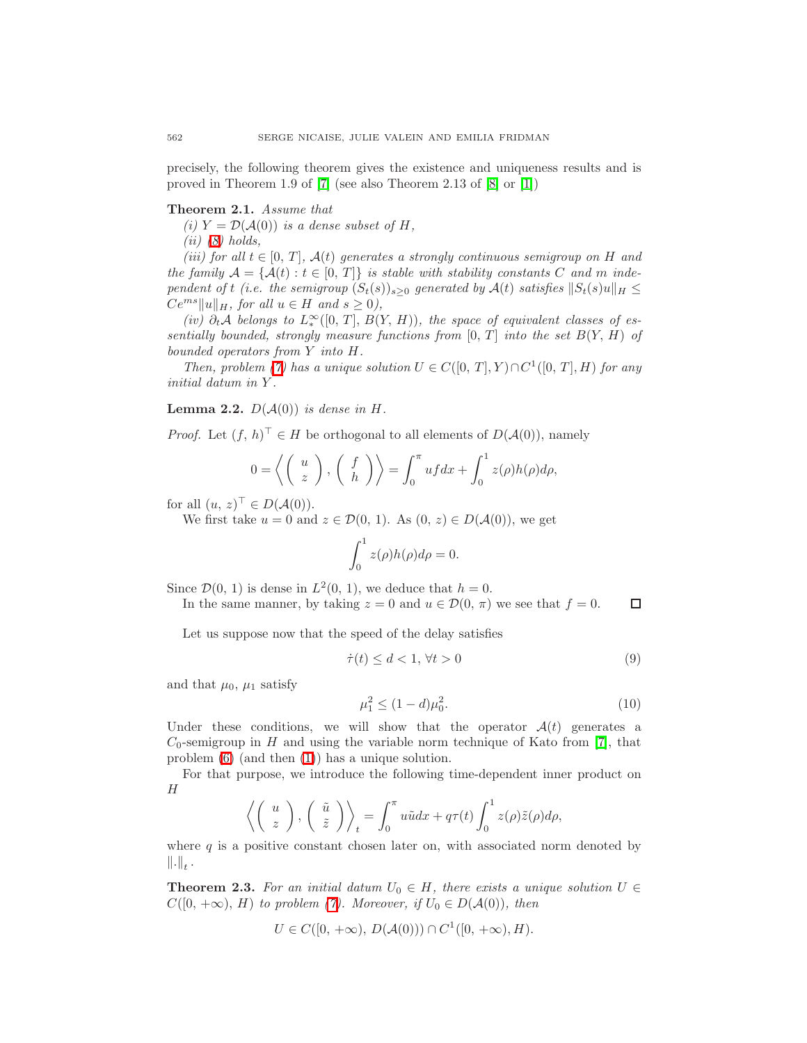<span id="page-3-1"></span>precisely, the following theorem gives the existence and uniqueness results and is proved in Theorem 1.9 of [\[7\]](#page-21-7) (see also Theorem 2.13 of [\[8\]](#page-21-8) or [\[1\]](#page-21-9))

## Theorem 2.1. Assume that

(i)  $Y = \mathcal{D}(\mathcal{A}(0))$  is a dense subset of H,

 $(ii)$  [\(8\)](#page-2-1) holds,

(iii) for all  $t \in [0, T]$ ,  $\mathcal{A}(t)$  generates a strongly continuous semigroup on H and the family  $\mathcal{A} = \{ \mathcal{A}(t) : t \in [0, T] \}$  is stable with stability constants C and m independent of t (i.e. the semigroup  $(S_t(s))_{s>0}$  generated by  $\mathcal{A}(t)$  satisfies  $||S_t(s)u||_H \leq$  $Ce^{ms} ||u||_H$ , for all  $u \in H$  and  $s \geq 0$ ),

(iv)  $\partial_t A$  belongs to  $L^{\infty}_*([0, T], B(Y, H))$ , the space of equivalent classes of essentially bounded, strongly measure functions from  $[0, T]$  into the set  $B(Y, H)$  of bounded operators from Y into H.

Then, problem [\(7\)](#page-2-0) has a unique solution  $U \in C([0, T], Y) \cap C^1([0, T], H)$  for any initial datum in Y .

<span id="page-3-2"></span>**Lemma 2.2.**  $D(\mathcal{A}(0))$  is dense in H.

*Proof.* Let  $(f, h)^\top \in H$  be orthogonal to all elements of  $D(A(0))$ , namely

$$
0 = \left\langle \left(\begin{array}{c} u \\ z \end{array}\right), \left(\begin{array}{c} f \\ h \end{array}\right) \right\rangle = \int_0^\pi u f dx + \int_0^1 z(\rho) h(\rho) d\rho,
$$

for all  $(u, z)^\top \in D(A(0))$ .

We first take  $u = 0$  and  $z \in \mathcal{D}(0, 1)$ . As  $(0, z) \in D(\mathcal{A}(0))$ , we get

$$
\int_0^1 z(\rho)h(\rho)d\rho = 0.
$$

Since  $\mathcal{D}(0, 1)$  is dense in  $L^2(0, 1)$ , we deduce that  $h = 0$ .

In the same manner, by taking  $z = 0$  and  $u \in \mathcal{D}(0, \pi)$  we see that  $f = 0$ .  $\Box$ 

<span id="page-3-3"></span>Let us suppose now that the speed of the delay satisfies

<span id="page-3-0"></span>
$$
\dot{\tau}(t) \le d < 1, \,\forall t > 0 \tag{9}
$$

and that  $\mu_0$ ,  $\mu_1$  satisfy

$$
\mu_1^2 \le (1 - d)\mu_0^2. \tag{10}
$$

Under these conditions, we will show that the operator  $\mathcal{A}(t)$  generates a  $C_0$ -semigroup in H and using the variable norm technique of Kato from [\[7\]](#page-21-7), that problem [\(6\)](#page-2-2) (and then [\(1\)](#page-1-0)) has a unique solution.

For that purpose, we introduce the following time-dependent inner product on H

$$
\left\langle \left(\begin{array}{c} u \\ z \end{array}\right), \left(\begin{array}{c} \tilde{u} \\ \tilde{z} \end{array}\right) \right\rangle_t = \int_0^\pi u \tilde{u} dx + q\tau(t) \int_0^1 z(\rho) \tilde{z}(\rho) d\rho,
$$

<span id="page-3-4"></span>where  $q$  is a positive constant chosen later on, with associated norm denoted by  $\left\| . \right\|_t$  .

**Theorem 2.3.** For an initial datum  $U_0 \in H$ , there exists a unique solution  $U \in$  $C([0, +\infty), H)$  to problem [\(7\)](#page-2-0). Moreover, if  $U_0 \in D(A(0))$ , then

$$
U \in C([0, +\infty), D(\mathcal{A}(0))) \cap C^1([0, +\infty), H).
$$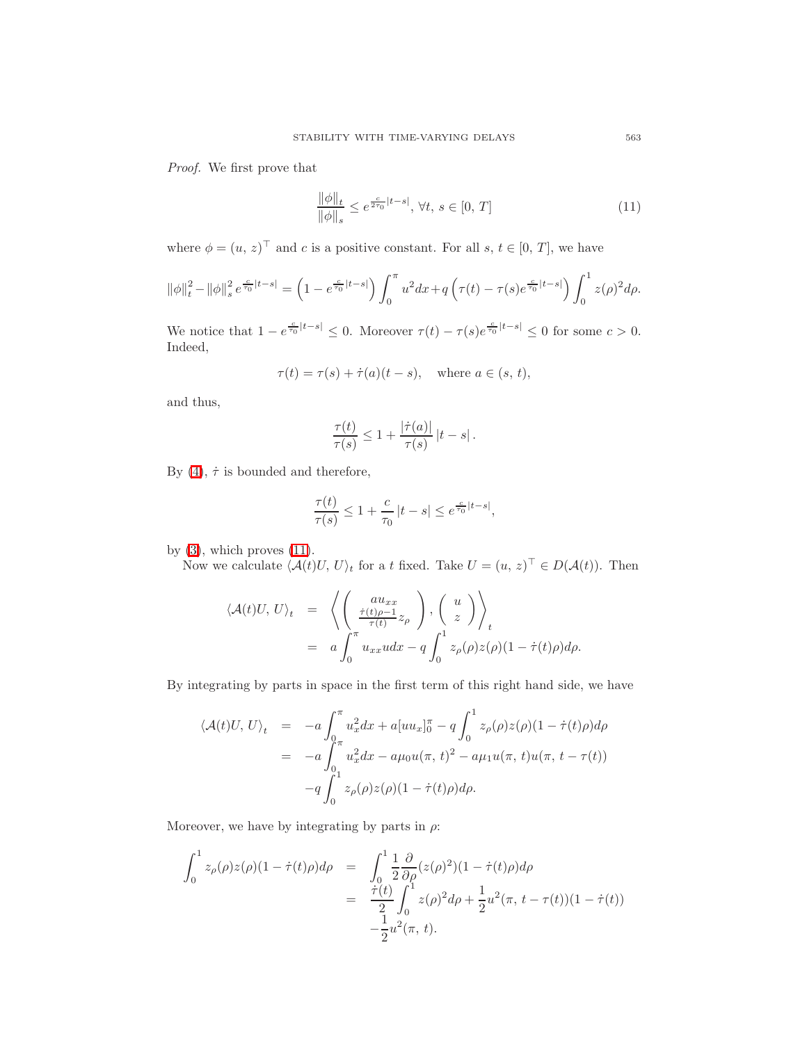<span id="page-4-0"></span>Proof. We first prove that

$$
\frac{\|\phi\|_{t}}{\|\phi\|_{s}} \le e^{\frac{c}{2\tau_{0}}|t-s|}, \forall t, s \in [0, T]
$$
\n(11)

where  $\phi = (u, z)^{\top}$  and c is a positive constant. For all s,  $t \in [0, T]$ , we have

$$
\|\phi\|_{t}^{2} - \|\phi\|_{s}^{2} e^{\frac{c}{\tau_{0}}|t-s|} = \left(1 - e^{\frac{c}{\tau_{0}}|t-s|}\right) \int_{0}^{\pi} u^{2} dx + q\left(\tau(t) - \tau(s)e^{\frac{c}{\tau_{0}}|t-s|}\right) \int_{0}^{1} z(\rho)^{2} d\rho.
$$

We notice that  $1 - e^{\frac{c}{\tau_0}|t-s|} \leq 0$ . Moreover  $\tau(t) - \tau(s)e^{\frac{c}{\tau_0}|t-s|} \leq 0$  for some  $c > 0$ . Indeed,

$$
\tau(t) = \tau(s) + \dot{\tau}(a)(t - s), \quad \text{where } a \in (s, t),
$$

and thus,

$$
\frac{\tau(t)}{\tau(s)} \leq 1 + \frac{|\dot{\tau}(a)|}{\tau(s)} |t - s|.
$$

By [\(4\)](#page-1-1),  $\dot{\tau}$  is bounded and therefore,

$$
\frac{\tau(t)}{\tau(s)} \le 1 + \frac{c}{\tau_0} |t - s| \le e^{\frac{c}{\tau_0}|t - s|},
$$

by  $(3)$ , which proves  $(11)$ .

Now we calculate  $\langle \mathcal{A}(t)U, U \rangle_t$  for a t fixed. Take  $U = (u, z)^\top \in D(\mathcal{A}(t))$ . Then

$$
\langle \mathcal{A}(t)U, U \rangle_t = \left\langle \left( \begin{array}{c} au_{xx} \\ \frac{\dot{\tau}(t)\rho - 1}{\tau(t)} z_\rho \end{array} \right), \left( \begin{array}{c} u \\ z \end{array} \right) \right\rangle_t
$$
  
=  $a \int_0^\pi u_{xx} u dx - q \int_0^1 z_\rho(\rho) z(\rho) (1 - \dot{\tau}(t)\rho) d\rho.$ 

By integrating by parts in space in the first term of this right hand side, we have

$$
\langle \mathcal{A}(t)U, U \rangle_t = -a \int_0^{\pi} u_x^2 dx + a[uu_x]_0^{\pi} - q \int_0^1 z_{\rho}(\rho) z(\rho) (1 - \dot{\tau}(t)\rho) d\rho \n= -a \int_0^{\pi} u_x^2 dx - a\mu_0 u(\pi, t)^2 - a\mu_1 u(\pi, t) u(\pi, t - \tau(t)) \n- q \int_0^1 z_{\rho}(\rho) z(\rho) (1 - \dot{\tau}(t)\rho) d\rho.
$$

Moreover, we have by integrating by parts in  $\rho$ :

$$
\int_0^1 z_\rho(\rho) z(\rho) (1 - \dot{\tau}(t)\rho) d\rho = \int_0^1 \frac{1}{2} \frac{\partial}{\partial \rho} (z(\rho)^2) (1 - \dot{\tau}(t)\rho) d\rho
$$
  

$$
= \frac{\dot{\tau}(t)}{2} \int_0^1 z(\rho)^2 d\rho + \frac{1}{2} u^2(\pi, t - \tau(t)) (1 - \dot{\tau}(t))
$$
  

$$
- \frac{1}{2} u^2(\pi, t).
$$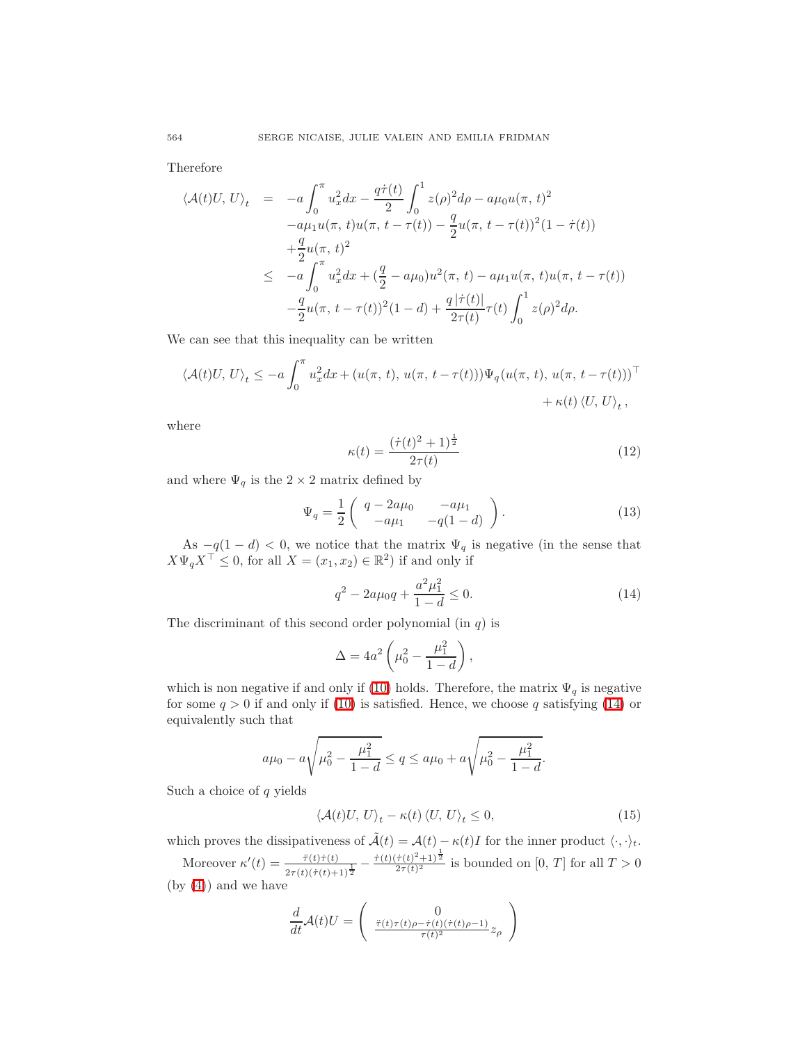Therefore

$$
\langle \mathcal{A}(t)U, U \rangle_t = -a \int_0^{\pi} u_x^2 dx - \frac{q\dot{\tau}(t)}{2} \int_0^1 z(\rho)^2 d\rho - a\mu_0 u(\pi, t)^2
$$
  
\n
$$
-a\mu_1 u(\pi, t)u(\pi, t - \tau(t)) - \frac{q}{2}u(\pi, t - \tau(t))^2 (1 - \dot{\tau}(t))
$$
  
\n
$$
+ \frac{q}{2}u(\pi, t)^2
$$
  
\n
$$
\leq -a \int_0^{\pi} u_x^2 dx + (\frac{q}{2} - a\mu_0)u^2(\pi, t) - a\mu_1 u(\pi, t)u(\pi, t - \tau(t))
$$
  
\n
$$
- \frac{q}{2}u(\pi, t - \tau(t))^2 (1 - d) + \frac{q|\dot{\tau}(t)|}{2\tau(t)}\tau(t) \int_0^1 z(\rho)^2 d\rho.
$$

We can see that this inequality can be written

$$
\langle \mathcal{A}(t)U, U \rangle_t \le -a \int_0^{\pi} u_x^2 dx + (u(\pi, t), u(\pi, t - \tau(t))) \Psi_q(u(\pi, t), u(\pi, t - \tau(t)))^{\top} + \kappa(t) \langle U, U \rangle_t,
$$

where

$$
\kappa(t) = \frac{(\dot{\tau}(t)^2 + 1)^{\frac{1}{2}}}{2\tau(t)}\tag{12}
$$

<span id="page-5-2"></span>and where  $\Psi_q$  is the  $2 \times 2$  matrix defined by

<span id="page-5-3"></span>
$$
\Psi_q = \frac{1}{2} \begin{pmatrix} q - 2a\mu_0 & -a\mu_1 \\ -a\mu_1 & -q(1-d) \end{pmatrix} . \tag{13}
$$

As  $-q(1-d) < 0$ , we notice that the matrix  $\Psi_q$  is negative (in the sense that  $X\Psi_q X^\top \leq 0$ , for all  $X = (x_1, x_2) \in \mathbb{R}^2$ ) if and only if

$$
q^2 - 2a\mu_0 q + \frac{a^2\mu_1^2}{1 - d} \le 0.
$$
 (14)

<span id="page-5-0"></span>The discriminant of this second order polynomial (in  $q$ ) is

$$
\Delta = 4a^2 \left( \mu_0^2 - \frac{\mu_1^2}{1 - d} \right),
$$

which is non negative if and only if [\(10\)](#page-3-0) holds. Therefore, the matrix  $\Psi_q$  is negative for some  $q > 0$  if and only if [\(10\)](#page-3-0) is satisfied. Hence, we choose q satisfying [\(14\)](#page-5-0) or equivalently such that

$$
a\mu_0 - a\sqrt{\mu_0^2 - \frac{\mu_1^2}{1-d}} \le q \le a\mu_0 + a\sqrt{\mu_0^2 - \frac{\mu_1^2}{1-d}}.
$$

Such a choice of  $q$  yields

$$
\langle \mathcal{A}(t)U, U \rangle_t - \kappa(t) \langle U, U \rangle_t \le 0, \tag{15}
$$

<span id="page-5-1"></span>which proves the dissipativeness of  $\tilde{\mathcal{A}}(t) = \mathcal{A}(t) - \kappa(t)I$  for the inner product  $\langle \cdot, \cdot \rangle_t$ .

Moreover  $\kappa'(t) = \frac{\ddot{r}(t)\dot{r}(t)}{2\tau(t)(\dot{r}(t)+1)^{\frac{1}{2}}} - \frac{\dot{r}(t)(\dot{r}(t)^{2}+1)^{\frac{1}{2}}}{2\tau(t)^{2}}$  is bounded on  $[0, T]$  for all  $T > 0$ (by [\(4\)](#page-1-1)) and we have

$$
\frac{d}{dt}\mathcal{A}(t)U = \begin{pmatrix} 0 \\ \frac{\ddot{\tau}(t)\tau(t)\rho - \dot{\tau}(t)(\dot{\tau}(t)\rho - 1)}{\tau(t)^2} z_{\rho} \end{pmatrix}
$$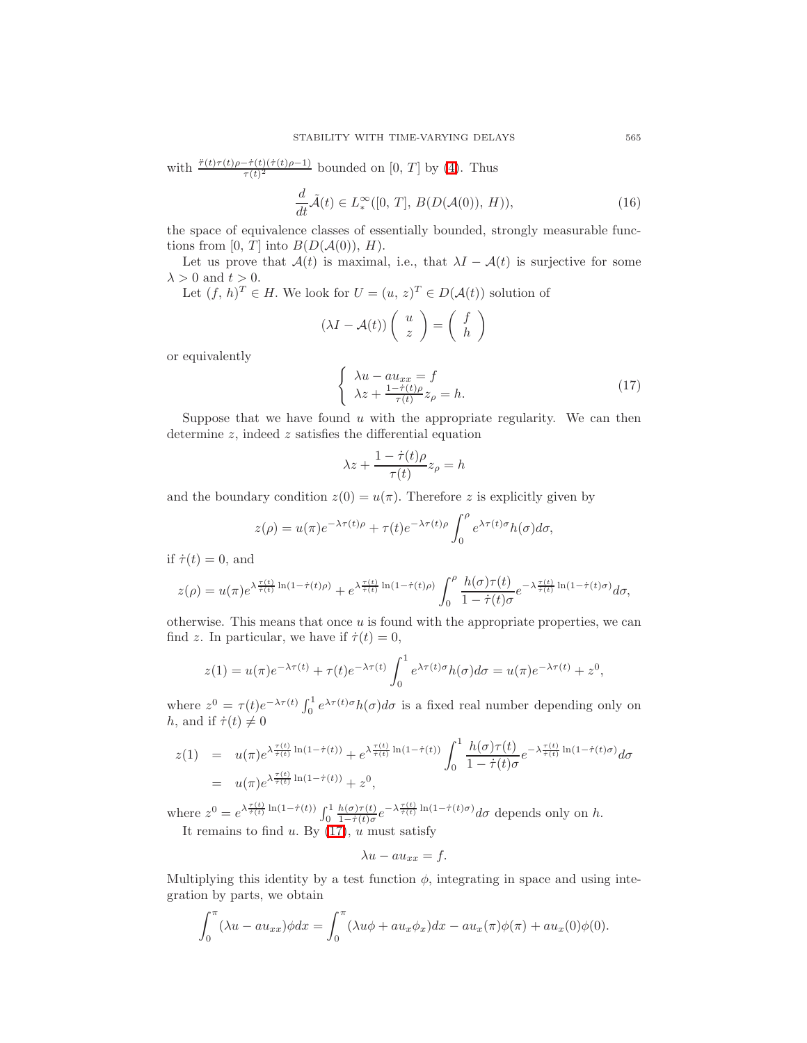with  $\frac{\ddot{\tau}(t)\tau(t)\rho - \dot{\tau}(t)(\dot{\tau}(t)\rho - 1)}{\tau(t)^2}$  bounded on [0, T] by [\(4\)](#page-1-1). Thus

$$
\frac{d}{dt}\tilde{\mathcal{A}}(t) \in L^{\infty}_{*}([0, T], B(D(\mathcal{A}(0)), H)), \tag{16}
$$

<span id="page-6-1"></span>the space of equivalence classes of essentially bounded, strongly measurable functions from [0, T] into  $B(D(A(0)), H)$ .

Let us prove that  $A(t)$  is maximal, i.e., that  $\lambda I - A(t)$  is surjective for some  $\lambda > 0$  and  $t > 0$ .

Let  $(f, h)^T \in H$ . We look for  $U = (u, z)^T \in D(\mathcal{A}(t))$  solution of

$$
(\lambda I - \mathcal{A}(t)) \left( \begin{array}{c} u \\ z \end{array} \right) = \left( \begin{array}{c} f \\ h \end{array} \right)
$$

<span id="page-6-0"></span>or equivalently

$$
\begin{cases} \lambda u - au_{xx} = f \\ \lambda z + \frac{1 - \dot{\tau}(t)\rho}{\tau(t)} z_{\rho} = h. \end{cases}
$$
 (17)

Suppose that we have found  $u$  with the appropriate regularity. We can then determine  $z$ , indeed  $z$  satisfies the differential equation

$$
\lambda z + \frac{1 - \dot{\tau}(t)\rho}{\tau(t)} z_{\rho} = h
$$

and the boundary condition  $z(0) = u(\pi)$ . Therefore z is explicitly given by

$$
z(\rho) = u(\pi)e^{-\lambda \tau(t)\rho} + \tau(t)e^{-\lambda \tau(t)\rho} \int_0^{\rho} e^{\lambda \tau(t)\sigma} h(\sigma) d\sigma,
$$

if  $\dot{\tau}(t) = 0$ , and

$$
z(\rho) = u(\pi) e^{\lambda \frac{\tau(t)}{\tau(t)} \ln(1-\dot{\tau}(t)\rho)} + e^{\lambda \frac{\tau(t)}{\dot{\tau}(t)} \ln(1-\dot{\tau}(t)\rho)} \int_0^{\rho} \frac{h(\sigma)\tau(t)}{1-\dot{\tau}(t)\sigma} e^{-\lambda \frac{\tau(t)}{\dot{\tau}(t)} \ln(1-\dot{\tau}(t)\sigma)} d\sigma,
$$

otherwise. This means that once  $u$  is found with the appropriate properties, we can find z. In particular, we have if  $\dot{\tau}(t) = 0$ ,

$$
z(1) = u(\pi)e^{-\lambda \tau(t)} + \tau(t)e^{-\lambda \tau(t)} \int_0^1 e^{\lambda \tau(t)\sigma} h(\sigma) d\sigma = u(\pi)e^{-\lambda \tau(t)} + z^0,
$$

where  $z^0 = \tau(t)e^{-\lambda \tau(t)} \int_0^1 e^{\lambda \tau(t)\sigma} h(\sigma) d\sigma$  is a fixed real number depending only on h, and if  $\dot{\tau}(t) \neq 0$ 

$$
z(1) = u(\pi)e^{\lambda \frac{\tau(t)}{\tau(t)}\ln(1-\dot{\tau}(t))} + e^{\lambda \frac{\tau(t)}{\tau(t)}\ln(1-\dot{\tau}(t))} \int_0^1 \frac{h(\sigma)\tau(t)}{1-\dot{\tau}(t)\sigma} e^{-\lambda \frac{\tau(t)}{\dot{\tau}(t)}\ln(1-\dot{\tau}(t)\sigma)} d\sigma
$$
  
=  $u(\pi)e^{\lambda \frac{\tau(t)}{\dot{\tau}(t)}\ln(1-\dot{\tau}(t))} + z^0$ ,

where  $z^0 = e^{\lambda \frac{\tau(t)}{\hat{\tau}(t)} \ln(1-\dot{\tau}(t))} \int_0^1$  $h(\sigma)\tau(t)$  $\frac{h(\sigma)\tau(t)}{1-\dot{\tau}(t)\sigma}e^{-\lambda\frac{\tau(t)}{\dot{\tau}(t)}\ln(1-\dot{\tau}(t)\sigma)}d\sigma$  depends only on h. It remains to find u. By  $(17)$ , u must satisfy

$$
\lambda u - a u_{xx} = f.
$$

Multiplying this identity by a test function  $\phi$ , integrating in space and using integration by parts, we obtain

$$
\int_0^{\pi} (\lambda u - au_{xx}) \phi dx = \int_0^{\pi} (\lambda u \phi + au_x \phi_x) dx - au_x(\pi) \phi(\pi) + au_x(0) \phi(0).
$$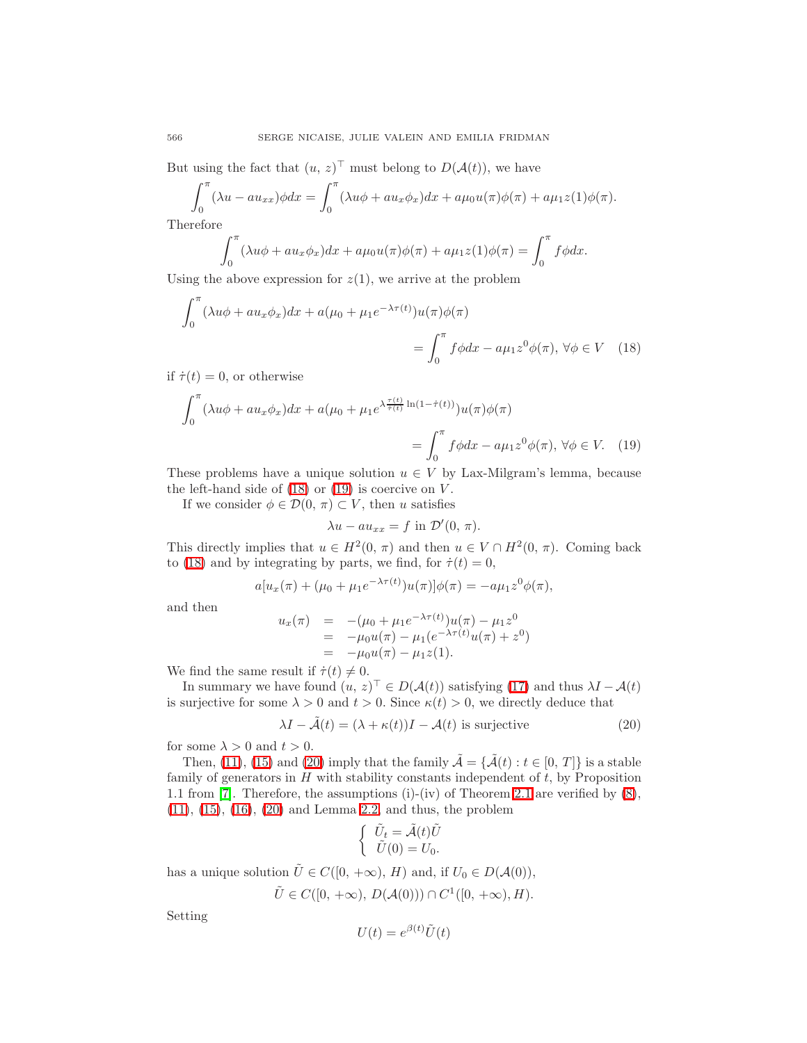But using the fact that  $(u, z)^\top$  must belong to  $D(\mathcal{A}(t))$ , we have

$$
\int_0^{\pi} (\lambda u - au_{xx}) \phi dx = \int_0^{\pi} (\lambda u \phi + au_x \phi_x) dx + a\mu_0 u(\pi) \phi(\pi) + a\mu_1 z(1) \phi(\pi).
$$

Therefore

$$
\int_0^\pi (\lambda u \phi + a u_x \phi_x) dx + a \mu_0 u(\pi) \phi(\pi) + a \mu_1 z(1) \phi(\pi) = \int_0^\pi f \phi dx.
$$

Using the above expression for  $z(1)$ , we arrive at the problem

$$
\int_0^\pi (\lambda u \phi + a u_x \phi_x) dx + a(\mu_0 + \mu_1 e^{-\lambda \tau(t)}) u(\pi) \phi(\pi)
$$
  
= 
$$
\int_0^\pi f \phi dx - a \mu_1 z^0 \phi(\pi), \forall \phi \in V \quad (18)
$$

if  $\dot{\tau}(t) = 0$ , or otherwise

$$
\int_0^\pi (\lambda u \phi + a u_x \phi_x) dx + a(\mu_0 + \mu_1 e^{\lambda \frac{\tau(t)}{\tau(t)}} \ln(1 - \dot{\tau}(t)) u(\pi) \phi(\pi))
$$
  
= 
$$
\int_0^\pi f \phi dx - a \mu_1 z^0 \phi(\pi), \forall \phi \in V.
$$
 (19)

These problems have a unique solution  $u \in V$  by Lax-Milgram's lemma, because the left-hand side of  $(18)$  or  $(19)$  is coercive on V.

If we consider  $\phi \in \mathcal{D}(0, \pi) \subset V$ , then u satisfies

<span id="page-7-1"></span><span id="page-7-0"></span>
$$
\lambda u - a u_{xx} = f \text{ in } \mathcal{D}'(0, \pi).
$$

This directly implies that  $u \in H^2(0, \pi)$  and then  $u \in V \cap H^2(0, \pi)$ . Coming back to [\(18\)](#page-7-0) and by integrating by parts, we find, for  $\dot{\tau}(t) = 0$ ,

$$
a[u_x(\pi) + (\mu_0 + \mu_1 e^{-\lambda \tau(t)})u(\pi)]\phi(\pi) = -a\mu_1 z^0 \phi(\pi),
$$

and then

$$
u_x(\pi) = -(\mu_0 + \mu_1 e^{-\lambda \tau(t)}) u(\pi) - \mu_1 z^0
$$
  
=  $-\mu_0 u(\pi) - \mu_1 (e^{-\lambda \tau(t)} u(\pi) + z^0)$   
=  $-\mu_0 u(\pi) - \mu_1 z(1).$ 

We find the same result if  $\dot{\tau}(t) \neq 0$ .

In summary we have found  $(u, z)^{\top} \in D(\mathcal{A}(t))$  satisfying [\(17\)](#page-6-0) and thus  $\lambda I - \mathcal{A}(t)$ is surjective for some  $\lambda > 0$  and  $t > 0$ . Since  $\kappa(t) > 0$ , we directly deduce that

$$
\lambda I - \tilde{\mathcal{A}}(t) = (\lambda + \kappa(t))I - \mathcal{A}(t) \text{ is surjective}
$$
\n(20)

<span id="page-7-2"></span>for some  $\lambda > 0$  and  $t > 0$ .

Then, [\(11\)](#page-4-0), [\(15\)](#page-5-1) and [\(20\)](#page-7-2) imply that the family  $\tilde{\mathcal{A}} = {\{\tilde{\mathcal{A}}(t) : t \in [0, T]\}}$  is a stable family of generators in  $H$  with stability constants independent of  $t$ , by Proposition 1.1 from [\[7\]](#page-21-7). Therefore, the assumptions (i)-(iv) of Theorem [2.1](#page-3-1) are verified by [\(8\)](#page-2-1), [\(11\)](#page-4-0), [\(15\)](#page-5-1), [\(16\)](#page-6-1), [\(20\)](#page-7-2) and Lemma [2.2,](#page-3-2) and thus, the problem

$$
\begin{cases} \tilde{U}_t = \tilde{\mathcal{A}}(t)\tilde{U} \\ \tilde{U}(0) = U_0. \end{cases}
$$

has a unique solution  $\tilde{U} \in C([0, +\infty), H)$  and, if  $U_0 \in D(A(0)),$ 

$$
\tilde{U} \in C([0, +\infty), D(\mathcal{A}(0))) \cap C^1([0, +\infty), H).
$$

Setting

$$
U(t) = e^{\beta(t)} \tilde{U}(t)
$$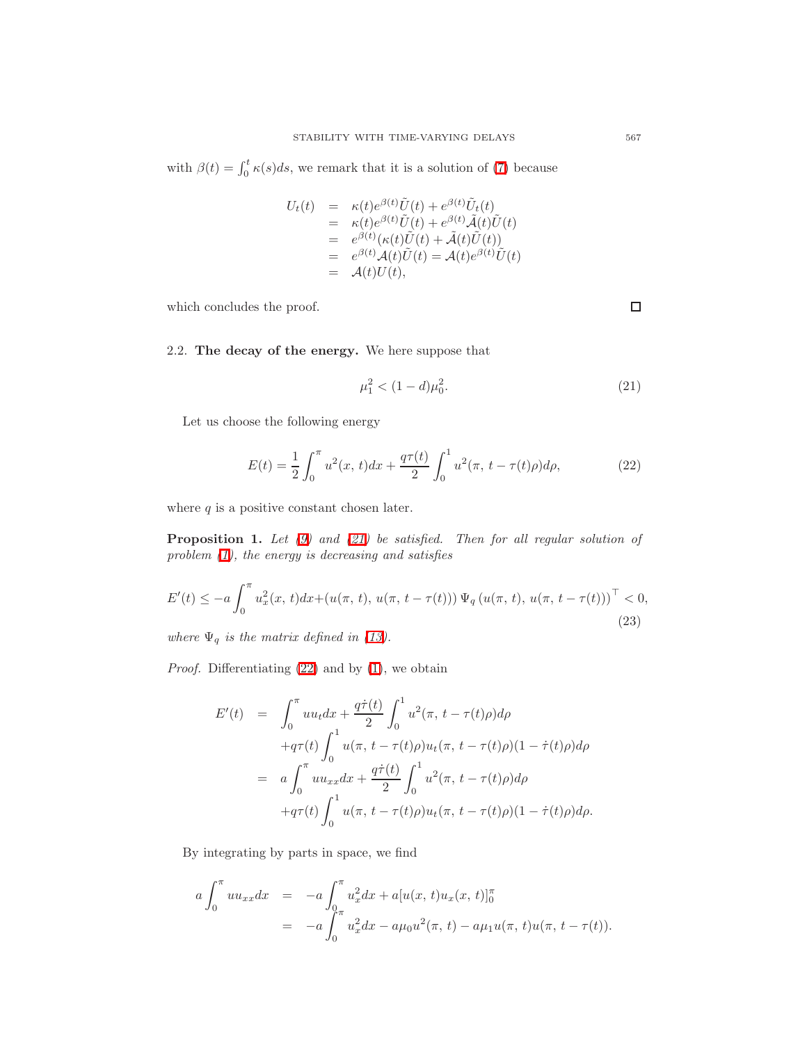with  $\beta(t) = \int_0^t \kappa(s)ds$ , we remark that it is a solution of [\(7\)](#page-2-0) because

$$
U_t(t) = \kappa(t)e^{\beta(t)}\tilde{U}(t) + e^{\beta(t)}\tilde{U}_t(t)
$$
  
\n
$$
= \kappa(t)e^{\beta(t)}\tilde{U}(t) + e^{\beta(t)}\tilde{\mathcal{A}}(t)\tilde{U}(t)
$$
  
\n
$$
= e^{\beta(t)}(\kappa(t)\tilde{U}(t) + \tilde{\mathcal{A}}(t)\tilde{U}(t))
$$
  
\n
$$
= e^{\beta(t)}\mathcal{A}(t)\tilde{U}(t) = \mathcal{A}(t)e^{\beta(t)}\tilde{U}(t)
$$
  
\n
$$
= \mathcal{A}(t)U(t),
$$

which concludes the proof.

## 2.2. The decay of the energy. We here suppose that

$$
\mu_1^2 < (1 - d)\mu_0^2. \tag{21}
$$

Let us choose the following energy

<span id="page-8-0"></span>
$$
E(t) = \frac{1}{2} \int_0^{\pi} u^2(x, t) dx + \frac{q\tau(t)}{2} \int_0^1 u^2(\pi, t - \tau(t)\rho) d\rho,
$$
 (22)

<span id="page-8-1"></span>where  $q$  is a positive constant chosen later.

**Proposition 1.** Let  $(9)$  and  $(21)$  be satisfied. Then for all regular solution of problem [\(1\)](#page-1-0), the energy is decreasing and satisfies

<span id="page-8-2"></span>
$$
E'(t) \le -a \int_0^{\pi} u_x^2(x, t) dx + (u(\pi, t), u(\pi, t - \tau(t))) \Psi_q(u(\pi, t), u(\pi, t - \tau(t)))^{\top} < 0,
$$
\n(23)

where  $\Psi_q$  is the matrix defined in [\(13\)](#page-5-2).

Proof. Differentiating [\(22\)](#page-8-1) and by [\(1\)](#page-1-0), we obtain

$$
E'(t) = \int_0^{\pi} uu_t dx + \frac{q\dot{\tau}(t)}{2} \int_0^1 u^2(\pi, t - \tau(t)\rho) d\rho
$$
  
+
$$
+q\tau(t) \int_0^1 u(\pi, t - \tau(t)\rho) u_t(\pi, t - \tau(t)\rho) (1 - \dot{\tau}(t)\rho) d\rho
$$
  
= 
$$
a \int_0^{\pi} uu_{xx} dx + \frac{q\dot{\tau}(t)}{2} \int_0^1 u^2(\pi, t - \tau(t)\rho) d\rho
$$
  
+
$$
+q\tau(t) \int_0^1 u(\pi, t - \tau(t)\rho) u_t(\pi, t - \tau(t)\rho) (1 - \dot{\tau}(t)\rho) d\rho.
$$

By integrating by parts in space, we find

$$
a \int_0^{\pi} u u_{xx} dx = -a \int_0^{\pi} u_x^2 dx + a[u(x, t)u_x(x, t)]_0^{\pi}
$$
  
= -a \int\_0^{\pi} u\_x^2 dx - a\mu\_0 u^2(\pi, t) - a\mu\_1 u(\pi, t)u(\pi, t - \tau(t)).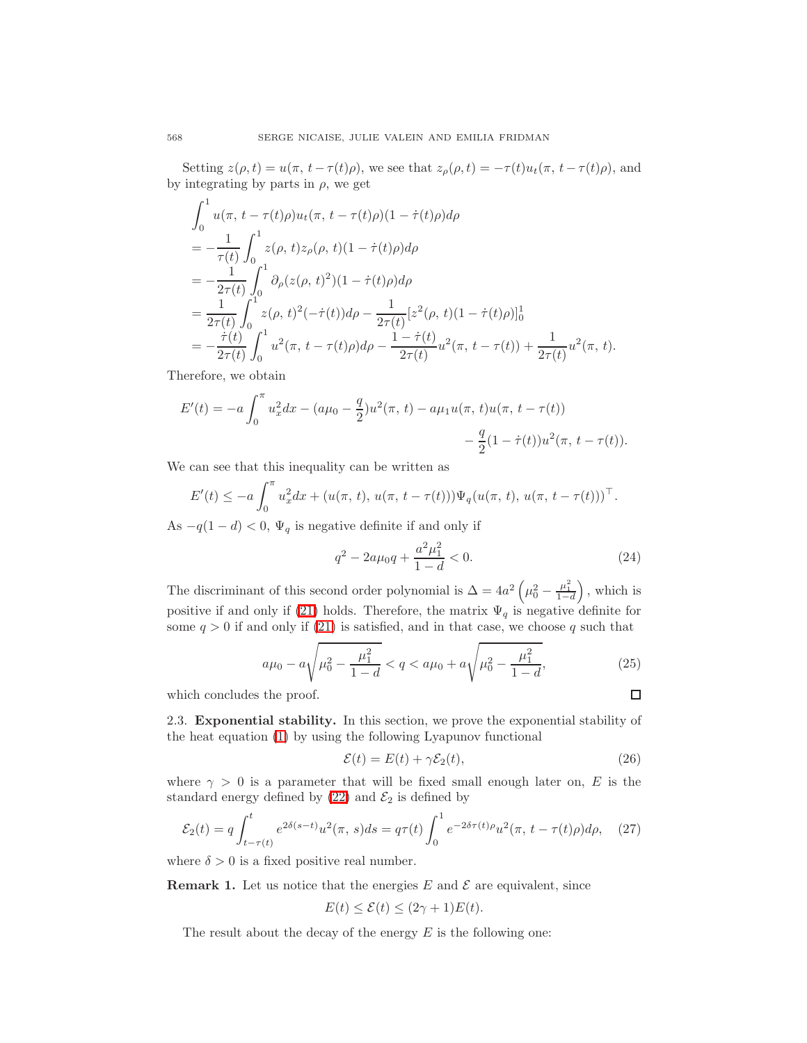Setting  $z(\rho, t) = u(\pi, t - \tau(t))\rho$ , we see that  $z_\rho(\rho, t) = -\tau(t)u_t(\pi, t - \tau(t))\rho$ , and by integrating by parts in  $\rho$ , we get

$$
\int_0^1 u(\pi, t - \tau(t)\rho)u_t(\pi, t - \tau(t)\rho)(1 - \dot{\tau}(t)\rho)d\rho \n= -\frac{1}{\tau(t)} \int_0^1 z(\rho, t)z_\rho(\rho, t)(1 - \dot{\tau}(t)\rho)d\rho \n= -\frac{1}{2\tau(t)} \int_0^1 \partial_\rho(z(\rho, t)^2)(1 - \dot{\tau}(t)\rho)d\rho \n= \frac{1}{2\tau(t)} \int_0^1 z(\rho, t)^2(-\dot{\tau}(t))d\rho - \frac{1}{2\tau(t)} [z^2(\rho, t)(1 - \dot{\tau}(t)\rho)]_0^1 \n= -\frac{\dot{\tau}(t)}{2\tau(t)} \int_0^1 u^2(\pi, t - \tau(t)\rho)d\rho - \frac{1 - \dot{\tau}(t)}{2\tau(t)} u^2(\pi, t - \tau(t)) + \frac{1}{2\tau(t)} u^2(\pi, t).
$$

Therefore, we obtain

$$
E'(t) = -a \int_0^{\pi} u_x^2 dx - (a\mu_0 - \frac{q}{2})u^2(\pi, t) - a\mu_1 u(\pi, t)u(\pi, t - \tau(t)) - \frac{q}{2}(1 - \dot{\tau}(t))u^2(\pi, t - \tau(t)).
$$

We can see that this inequality can be written as

$$
E'(t) \le -a \int_0^{\pi} u_x^2 dx + (u(\pi, t), u(\pi, t - \tau(t))) \Psi_q(u(\pi, t), u(\pi, t - \tau(t)))^{\top}.
$$

As  $-q(1-d) < 0$ ,  $\Psi_q$  is negative definite if and only if

$$
q^2 - 2a\mu_0 q + \frac{a^2\mu_1^2}{1 - d} < 0. \tag{24}
$$

The discriminant of this second order polynomial is  $\Delta = 4a^2 \left(\mu_0^2 - \frac{\mu_1^2}{1-d}\right)$ , which is positive if and only if [\(21\)](#page-8-0) holds. Therefore, the matrix  $\Psi_q$  is negative definite for some  $q > 0$  if and only if [\(21\)](#page-8-0) is satisfied, and in that case, we choose q such that

$$
a\mu_0 - a\sqrt{\mu_0^2 - \frac{\mu_1^2}{1 - d}} < q < a\mu_0 + a\sqrt{\mu_0^2 - \frac{\mu_1^2}{1 - d}},
$$
\n(25)

\nthe proof.

<span id="page-9-4"></span>which concludes the proof.

2.3. Exponential stability. In this section, we prove the exponential stability of the heat equation [\(1\)](#page-1-0) by using the following Lyapunov functional

$$
\mathcal{E}(t) = E(t) + \gamma \mathcal{E}_2(t),\tag{26}
$$

<span id="page-9-0"></span>where  $\gamma > 0$  is a parameter that will be fixed small enough later on, E is the standard energy defined by  $(22)$  and  $\mathcal{E}_2$  is defined by

$$
\mathcal{E}_2(t) = q \int_{t-\tau(t)}^t e^{2\delta(s-t)} u^2(\pi, s) ds = q\tau(t) \int_0^1 e^{-2\delta\tau(t)\rho} u^2(\pi, t-\tau(t)\rho) d\rho, \quad (27)
$$

<span id="page-9-2"></span><span id="page-9-1"></span>where  $\delta > 0$  is a fixed positive real number.

<span id="page-9-3"></span>**Remark 1.** Let us notice that the energies E and  $\mathcal E$  are equivalent, since

$$
E(t) \le \mathcal{E}(t) \le (2\gamma + 1)E(t).
$$

The result about the decay of the energy  $E$  is the following one: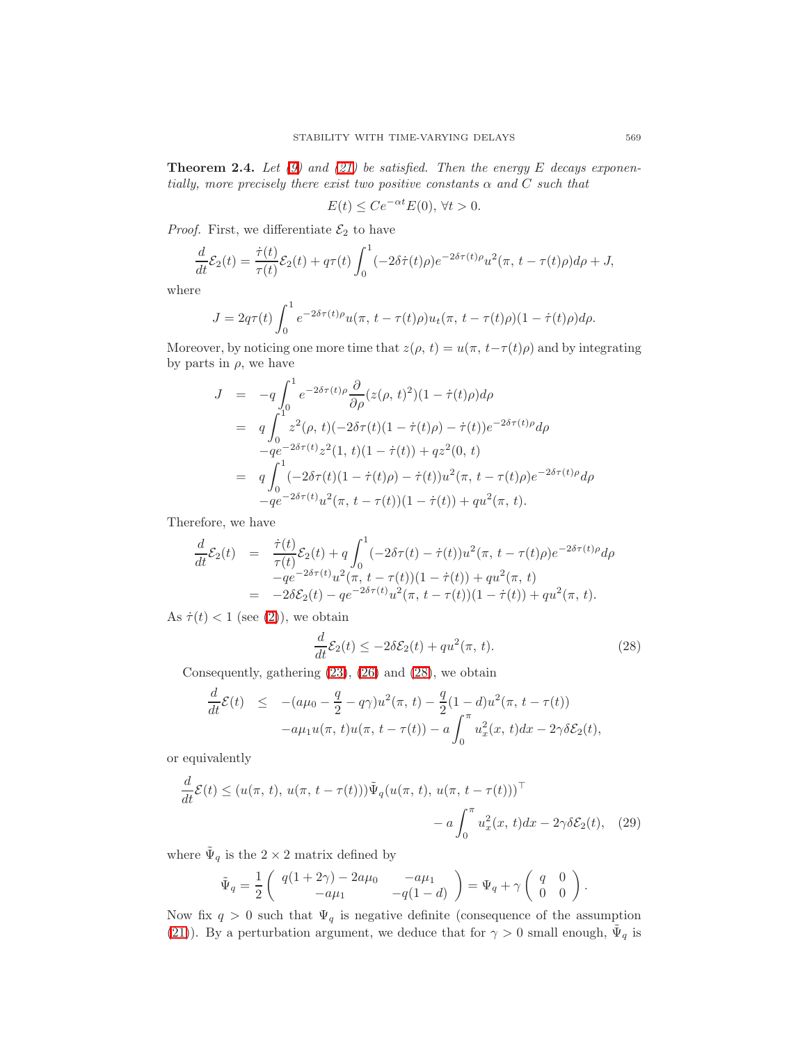**Theorem 2.4.** Let [\(9\)](#page-3-3) and [\(21\)](#page-8-0) be satisfied. Then the energy E decays exponentially, more precisely there exist two positive constants  $\alpha$  and  $C$  such that

$$
E(t) \le Ce^{-\alpha t} E(0), \,\forall t > 0.
$$

*Proof.* First, we differentiate  $\mathcal{E}_2$  to have

$$
\frac{d}{dt}\mathcal{E}_2(t) = \frac{\dot{\tau}(t)}{\tau(t)}\mathcal{E}_2(t) + q\tau(t)\int_0^1 (-2\delta\dot{\tau}(t)\rho)e^{-2\delta\tau(t)\rho}u^2(\pi, t-\tau(t)\rho)d\rho + J,
$$

where

$$
J = 2q\tau(t)\int_0^1 e^{-2\delta\tau(t)\rho}u(\pi, t-\tau(t)\rho)u_t(\pi, t-\tau(t)\rho)(1-\dot{\tau}(t)\rho)d\rho.
$$

Moreover, by noticing one more time that  $z(\rho, t) = u(\pi, t-\tau(t))\rho$  and by integrating by parts in  $\rho$ , we have

$$
J = -q \int_0^1 e^{-2\delta \tau(t)\rho} \frac{\partial}{\partial \rho} (z(\rho, t)^2)(1 - \dot{\tau}(t)\rho) d\rho
$$
  
\n
$$
= q \int_0^1 z^2(\rho, t)(-2\delta \tau(t)(1 - \dot{\tau}(t)\rho) - \dot{\tau}(t))e^{-2\delta \tau(t)\rho} d\rho
$$
  
\n
$$
-qe^{-2\delta \tau(t)}z^2(1, t)(1 - \dot{\tau}(t)) + qz^2(0, t)
$$
  
\n
$$
= q \int_0^1 (-2\delta \tau(t)(1 - \dot{\tau}(t)\rho) - \dot{\tau}(t))u^2(\pi, t - \tau(t)\rho)e^{-2\delta \tau(t)\rho} d\rho
$$
  
\n
$$
-qe^{-2\delta \tau(t)}u^2(\pi, t - \tau(t))(1 - \dot{\tau}(t)) + qu^2(\pi, t).
$$

Therefore, we have

$$
\frac{d}{dt}\mathcal{E}_2(t) = \frac{\dot{\tau}(t)}{\tau(t)}\mathcal{E}_2(t) + q \int_0^1 (-2\delta\tau(t) - \dot{\tau}(t))u^2(\pi, t - \tau(t)\rho)e^{-2\delta\tau(t)\rho}d\rho \n-qe^{-2\delta\tau(t)}u^2(\pi, t - \tau(t))(1 - \dot{\tau}(t)) + qu^2(\pi, t) \n= -2\delta\mathcal{E}_2(t) - qe^{-2\delta\tau(t)}u^2(\pi, t - \tau(t))(1 - \dot{\tau}(t)) + qu^2(\pi, t).
$$

As  $\dot{\tau}(t) < 1$  (see [\(2\)](#page-1-3)), we obtain

$$
\frac{d}{dt}\mathcal{E}_2(t) \le -2\delta \mathcal{E}_2(t) + qu^2(\pi, t). \tag{28}
$$

<span id="page-10-0"></span>Consequently, gathering [\(23\)](#page-8-2), [\(26\)](#page-9-0) and [\(28\)](#page-10-0), we obtain

$$
\frac{d}{dt}\mathcal{E}(t) \leq -(a\mu_0 - \frac{q}{2} - q\gamma)u^2(\pi, t) - \frac{q}{2}(1-d)u^2(\pi, t - \tau(t))\n-a\mu_1 u(\pi, t)u(\pi, t - \tau(t)) - a\int_0^{\pi} u_x^2(x, t)dx - 2\gamma \delta \mathcal{E}_2(t),
$$

or equivalently

$$
\frac{d}{dt}\mathcal{E}(t) \le (u(\pi, t), u(\pi, t - \tau(t)))\tilde{\Psi}_q(u(\pi, t), u(\pi, t - \tau(t)))^\top \n- a \int_0^\pi u_x^2(x, t)dx - 2\gamma \delta \mathcal{E}_2(t), \quad (29)
$$

where  $\tilde{\Psi}_q$  is the  $2 \times 2$  matrix defined by

$$
\tilde{\Psi}_q = \frac{1}{2} \begin{pmatrix} q(1+2\gamma) - 2a\mu_0 & -a\mu_1 \\ -a\mu_1 & -q(1-d) \end{pmatrix} = \Psi_q + \gamma \begin{pmatrix} q & 0 \\ 0 & 0 \end{pmatrix}.
$$

Now fix  $q > 0$  such that  $\Psi_q$  is negative definite (consequence of the assumption [\(21\)](#page-8-0)). By a perturbation argument, we deduce that for  $\gamma > 0$  small enough,  $\tilde{\Psi}_q$  is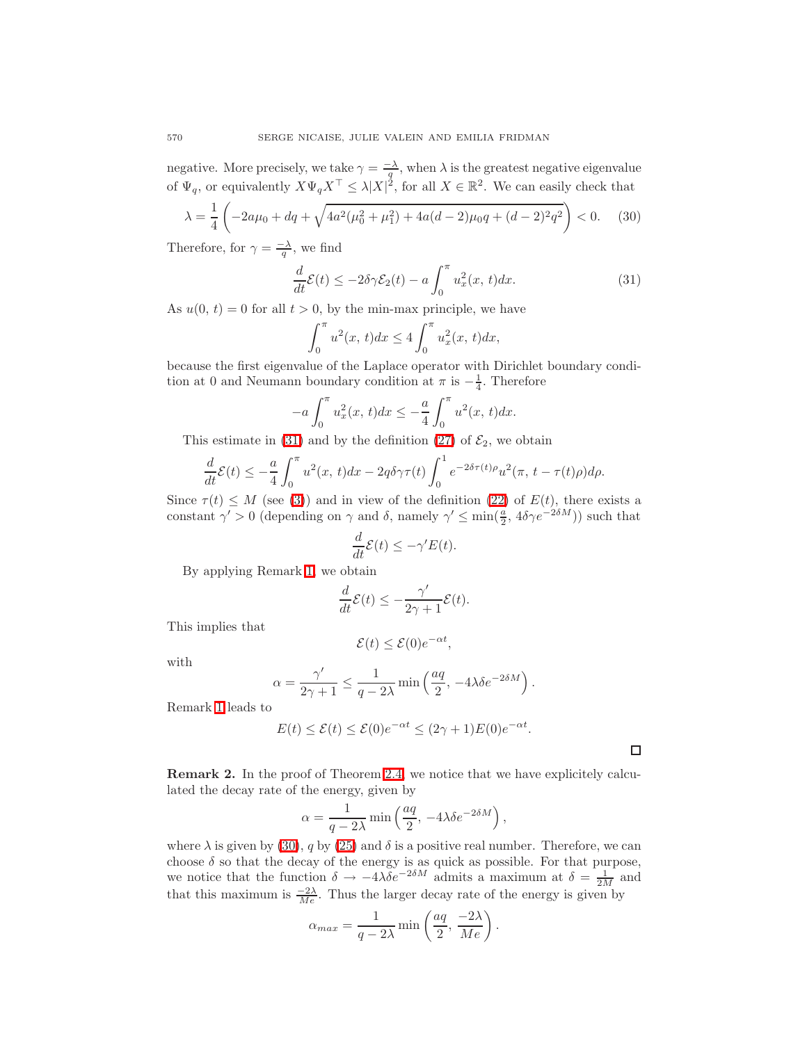negative. More precisely, we take  $\gamma = \frac{-\lambda}{q}$ , when  $\lambda$  is the greatest negative eigenvalue of  $\Psi_q$ , or equivalently  $X\Psi_q X^\top \leq \lambda |X|^2$ , for all  $X \in \mathbb{R}^2$ . We can easily check that

$$
\lambda = \frac{1}{4} \left( -2a\mu_0 + dq + \sqrt{4a^2(\mu_0^2 + \mu_1^2) + 4a(d-2)\mu_0 q + (d-2)^2 q^2} \right) < 0. \tag{30}
$$

<span id="page-11-1"></span><span id="page-11-0"></span>Therefore, for  $\gamma = \frac{-\lambda}{q}$ , we find

$$
\frac{d}{dt}\mathcal{E}(t) \le -2\delta\gamma \mathcal{E}_2(t) - a \int_0^\pi u_x^2(x, t)dx.
$$
\n(31)

As  $u(0, t) = 0$  for all  $t > 0$ , by the min-max principle, we have

$$
\int_0^{\pi} u^2(x, t) dx \le 4 \int_0^{\pi} u_x^2(x, t) dx,
$$

because the first eigenvalue of the Laplace operator with Dirichlet boundary condition at 0 and Neumann boundary condition at  $\pi$  is  $-\frac{1}{4}$ . Therefore

$$
-a\int_0^{\pi} u_x^2(x, t)dx \le -\frac{a}{4} \int_0^{\pi} u^2(x, t)dx.
$$

This estimate in [\(31\)](#page-11-0) and by the definition [\(27\)](#page-9-1) of  $\mathcal{E}_2$ , we obtain

$$
\frac{d}{dt}\mathcal{E}(t) \le -\frac{a}{4} \int_0^\pi u^2(x,t)dx - 2q\delta\gamma\tau(t) \int_0^1 e^{-2\delta\tau(t)\rho} u^2(\pi, t - \tau(t)\rho)d\rho.
$$

Since  $\tau(t) \leq M$  (see [\(3\)](#page-1-2)) and in view of the definition [\(22\)](#page-8-1) of  $E(t)$ , there exists a constant  $\gamma' > 0$  (depending on  $\gamma$  and  $\delta$ , namely  $\gamma' \le \min(\frac{a}{2}, 4\delta\gamma e^{-2\delta M})$ ) such that

$$
\frac{d}{dt}\mathcal{E}(t) \le -\gamma' E(t).
$$

By applying Remark [1,](#page-9-2) we obtain

$$
\frac{d}{dt}\mathcal{E}(t) \le -\frac{\gamma'}{2\gamma+1}\mathcal{E}(t).
$$

This implies that

$$
\mathcal{E}(t) \le \mathcal{E}(0)e^{-\alpha t},
$$

with

$$
\alpha = \frac{\gamma'}{2\gamma + 1} \le \frac{1}{q - 2\lambda} \min\left(\frac{aq}{2}, -4\lambda \delta e^{-2\delta M}\right).
$$

Remark [1](#page-9-2) leads to

$$
E(t) \le \mathcal{E}(t) \le \mathcal{E}(0)e^{-\alpha t} \le (2\gamma + 1)E(0)e^{-\alpha t}.
$$

 $\Box$ 

<span id="page-11-2"></span>Remark 2. In the proof of Theorem [2.4,](#page-9-3) we notice that we have explicitely calculated the decay rate of the energy, given by

$$
\alpha = \frac{1}{q - 2\lambda} \min\left(\frac{aq}{2}, -4\lambda \delta e^{-2\delta M}\right),\,
$$

where  $\lambda$  is given by [\(30\)](#page-11-1), q by [\(25\)](#page-9-4) and  $\delta$  is a positive real number. Therefore, we can choose  $\delta$  so that the decay of the energy is as quick as possible. For that purpose, we notice that the function  $\delta \to -4\lambda \delta e^{-2\delta M}$  admits a maximum at  $\delta = \frac{1}{2M}$  and that this maximum is  $\frac{-2\lambda}{Me}$ . Thus the larger decay rate of the energy is given by

$$
\alpha_{max} = \frac{1}{q - 2\lambda} \min\left(\frac{aq}{2}, \frac{-2\lambda}{Me}\right).
$$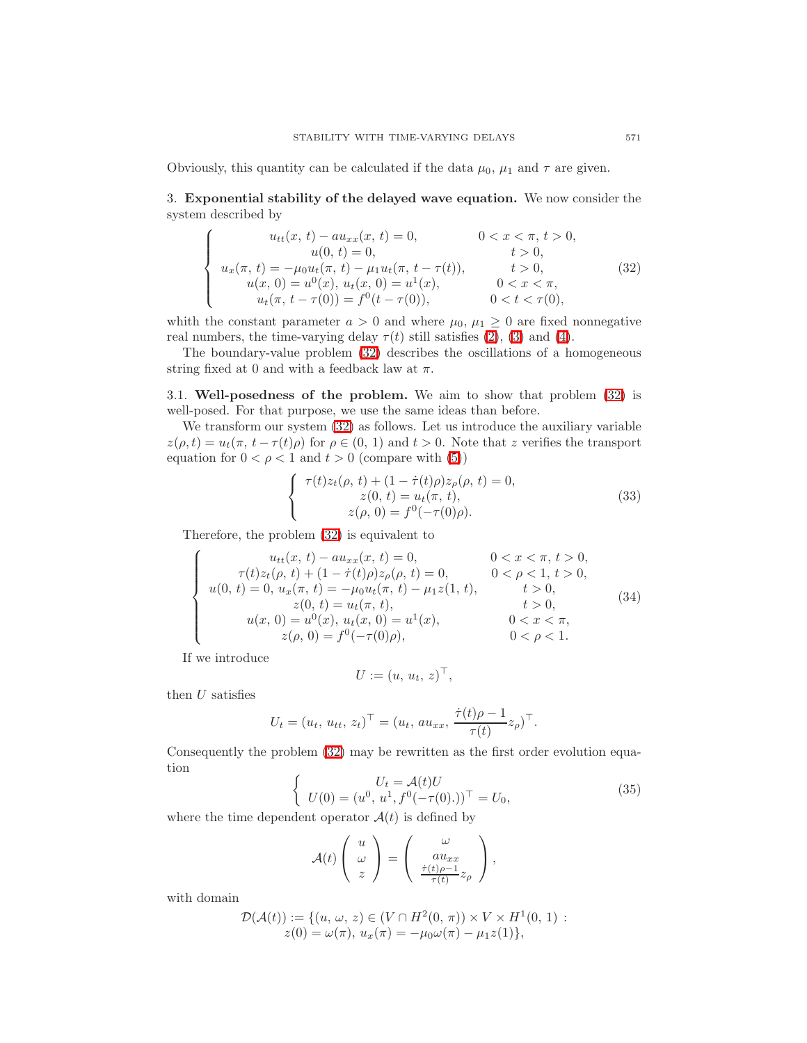Obviously, this quantity can be calculated if the data  $\mu_0$ ,  $\mu_1$  and  $\tau$  are given.

3. Exponential stability of the delayed wave equation. We now consider the system described by

$$
\begin{cases}\nu_{tt}(x, t) - au_{xx}(x, t) = 0, & 0 < x < \pi, t > 0, \\
u(0, t) = 0, & t > 0, \\
u_x(\pi, t) = -\mu_0 u_t(\pi, t) - \mu_1 u_t(\pi, t - \tau(t)), & t > 0, \\
u(x, 0) = u^0(x), u_t(x, 0) = u^1(x), & 0 < x < \pi, \\
u_t(\pi, t - \tau(0)) = f^0(t - \tau(0)), & 0 < t < \tau(0),\n\end{cases}
$$
\n(32)

<span id="page-12-0"></span>whith the constant parameter  $a > 0$  and where  $\mu_0, \mu_1 \geq 0$  are fixed nonnegative real numbers, the time-varying delay  $\tau(t)$  still satisfies [\(2\)](#page-1-3), [\(3\)](#page-1-2) and [\(4\)](#page-1-1).

The boundary-value problem [\(32\)](#page-12-0) describes the oscillations of a homogeneous string fixed at 0 and with a feedback law at  $\pi$ .

3.1. Well-posedness of the problem. We aim to show that problem [\(32\)](#page-12-0) is well-posed. For that purpose, we use the same ideas than before.

We transform our system  $(32)$  as follows. Let us introduce the auxiliary variable  $z(\rho, t) = u_t(\pi, t - \tau(t))$  for  $\rho \in (0, 1)$  and  $t > 0$ . Note that z verifies the transport equation for  $0 < \rho < 1$  and  $t > 0$  (compare with [\(5\)](#page-2-3))

$$
\begin{cases}\n\tau(t)z_t(\rho, t) + (1 - \dot{\tau}(t)\rho)z_\rho(\rho, t) = 0, \\
z(0, t) = u_t(\pi, t), \\
z(\rho, 0) = f^0(-\tau(0)\rho).\n\end{cases}
$$
\n(33)

Therefore, the problem [\(32\)](#page-12-0) is equivalent to

$$
\begin{cases}\nu_{tt}(x, t) - au_{xx}(x, t) = 0, & 0 < x < \pi, t > 0, \\
\tau(t)z_t(\rho, t) + (1 - \dot{\tau}(t)\rho)z_\rho(\rho, t) = 0, & 0 < \rho < 1, t > 0, \\
u(0, t) = 0, u_x(\pi, t) = -\mu_0 u_t(\pi, t) - \mu_1 z(1, t), & t > 0, \\
z(0, t) = u_t(\pi, t), & t > 0, \\
u(x, 0) = u^0(x), u_t(x, 0) = u^1(x), & 0 < x < \pi, \\
z(\rho, 0) = f^0(-\tau(0)\rho), & 0 < \rho < 1.\n\end{cases}
$$
\n(34)

If we introduce

$$
U := (u, u_t, z)^\top,
$$

then  $U$  satisfies

$$
U_t = (u_t, u_{tt}, z_t)^{\top} = (u_t, au_{xx}, \frac{\dot{\tau}(t)\rho - 1}{\tau(t)}z_{\rho})^{\top}.
$$

Consequently the problem [\(32\)](#page-12-0) may be rewritten as the first order evolution equation

$$
\begin{cases}\nU_t = \mathcal{A}(t)U \\
U(0) = (u^0, u^1, f^0(-\tau(0).))^\top = U_0,\n\end{cases}
$$
\n(35)

<span id="page-12-1"></span>where the time dependent operator  $\mathcal{A}(t)$  is defined by

$$
\mathcal{A}(t) \left( \begin{array}{c} u \\ \omega \\ z \end{array} \right) = \left( \begin{array}{c} \omega \\ a u_{xx} \\ \frac{\dot{\tau}(t)\rho - 1}{\tau(t)} z_{\rho} \end{array} \right),
$$

with domain

$$
\mathcal{D}(\mathcal{A}(t)) := \{ (u, \omega, z) \in (V \cap H^2(0, \pi)) \times V \times H^1(0, 1) : z(0) = \omega(\pi), u_x(\pi) = -\mu_0 \omega(\pi) - \mu_1 z(1) \},\
$$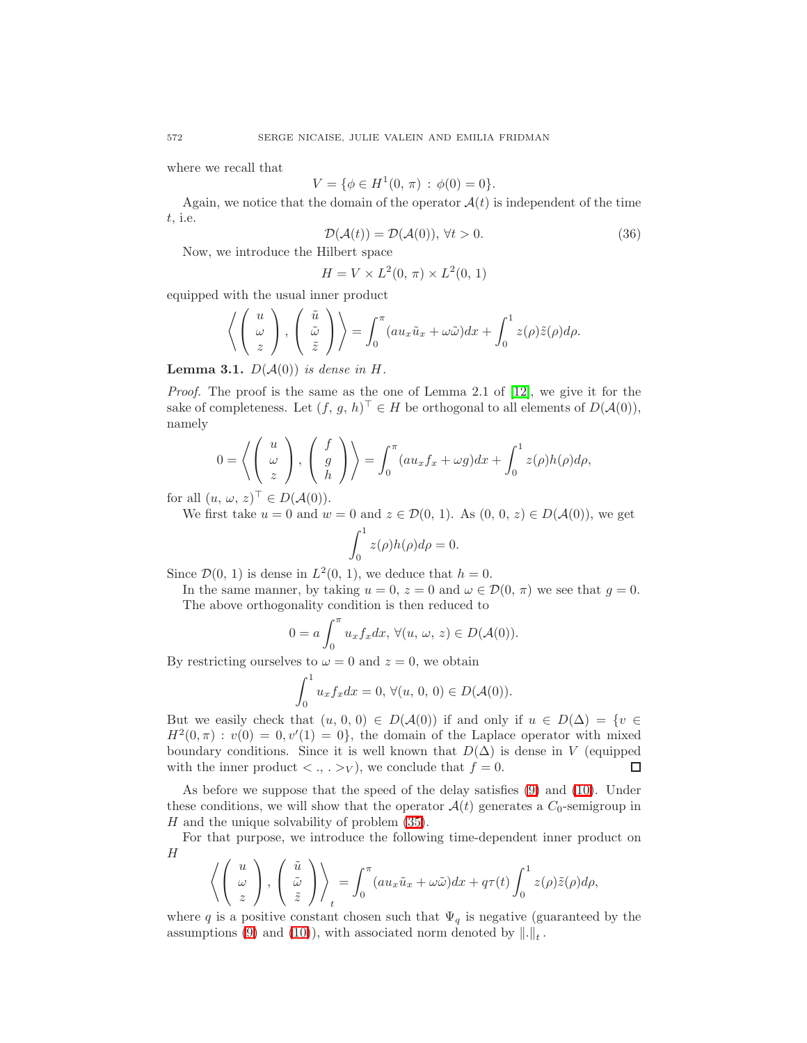where we recall that

$$
V = \{ \phi \in H^1(0, \pi) : \phi(0) = 0 \}.
$$

Again, we notice that the domain of the operator  $A(t)$  is independent of the time t, i.e.

$$
\mathcal{D}(\mathcal{A}(t)) = \mathcal{D}(\mathcal{A}(0)), \forall t > 0.
$$
\n(36)

<span id="page-13-0"></span>Now, we introduce the Hilbert space

$$
H = V \times L^2(0, \pi) \times L^2(0, 1)
$$

equipped with the usual inner product

$$
\left\langle \begin{pmatrix} u \\ \omega \\ z \end{pmatrix}, \begin{pmatrix} \tilde{u} \\ \tilde{\omega} \\ \tilde{z} \end{pmatrix} \right\rangle = \int_0^{\pi} (au_x \tilde{u}_x + \omega \tilde{\omega}) dx + \int_0^1 z(\rho) \tilde{z}(\rho) d\rho.
$$

<span id="page-13-1"></span>**Lemma 3.1.**  $D(A(0))$  is dense in H.

*Proof.* The proof is the same as the one of Lemma 2.1 of [\[12\]](#page-22-3), we give it for the sake of completeness. Let  $(f, g, h)^\top \in H$  be orthogonal to all elements of  $D(A(0)),$ namely

$$
0 = \left\langle \begin{pmatrix} u \\ \omega \\ z \end{pmatrix}, \begin{pmatrix} f \\ g \\ h \end{pmatrix} \right\rangle = \int_0^\pi (au_x f_x + \omega g) dx + \int_0^1 z(\rho)h(\rho)d\rho,
$$

for all  $(u, \omega, z)^\top \in D(A(0)).$ 

We first take  $u = 0$  and  $w = 0$  and  $z \in \mathcal{D}(0, 1)$ . As  $(0, 0, z) \in D(\mathcal{A}(0))$ , we get

$$
\int_0^1 z(\rho)h(\rho)d\rho = 0.
$$

Since  $\mathcal{D}(0, 1)$  is dense in  $L^2(0, 1)$ , we deduce that  $h = 0$ .

In the same manner, by taking  $u = 0$ ,  $z = 0$  and  $\omega \in \mathcal{D}(0, \pi)$  we see that  $g = 0$ . The above orthogonality condition is then reduced to

$$
0 = a \int_0^{\pi} u_x f_x dx, \,\forall (u, \, \omega, \, z) \in D(\mathcal{A}(0)).
$$

By restricting ourselves to  $\omega = 0$  and  $z = 0$ , we obtain

$$
\int_0^1 u_x f_x dx = 0, \,\forall (u, \, 0, \, 0) \in D(\mathcal{A}(0)).
$$

But we easily check that  $(u, 0, 0) \in D(\mathcal{A}(0))$  if and only if  $u \in D(\Delta) = \{v \in$  $H^2(0,\pi): v(0) = 0, v'(1) = 0$ , the domain of the Laplace operator with mixed boundary conditions. Since it is well known that  $D(\Delta)$  is dense in V (equipped with the inner product  $\langle \cdot, \cdot \rangle_V$ , we conclude that  $f = 0$ . П

As before we suppose that the speed of the delay satisfies [\(9\)](#page-3-3) and [\(10\)](#page-3-0). Under these conditions, we will show that the operator  $\mathcal{A}(t)$  generates a  $C_0$ -semigroup in H and the unique solvability of problem [\(35\)](#page-12-1).

For that purpose, we introduce the following time-dependent inner product on H

$$
\left\langle \left(\begin{array}{c} u \\ \omega \\ z \end{array}\right), \left(\begin{array}{c} \tilde{u} \\ \tilde{\omega} \\ \tilde{z} \end{array}\right) \right\rangle_t = \int_0^\pi (au_x \tilde{u}_x + \omega \tilde{\omega}) dx + q\tau(t) \int_0^1 z(\rho) \tilde{z}(\rho) d\rho,
$$

where q is a positive constant chosen such that  $\Psi_q$  is negative (guaranteed by the assumptions [\(9\)](#page-3-3) and [\(10\)](#page-3-0)), with associated norm denoted by  $\left\| . \right\|_t$ .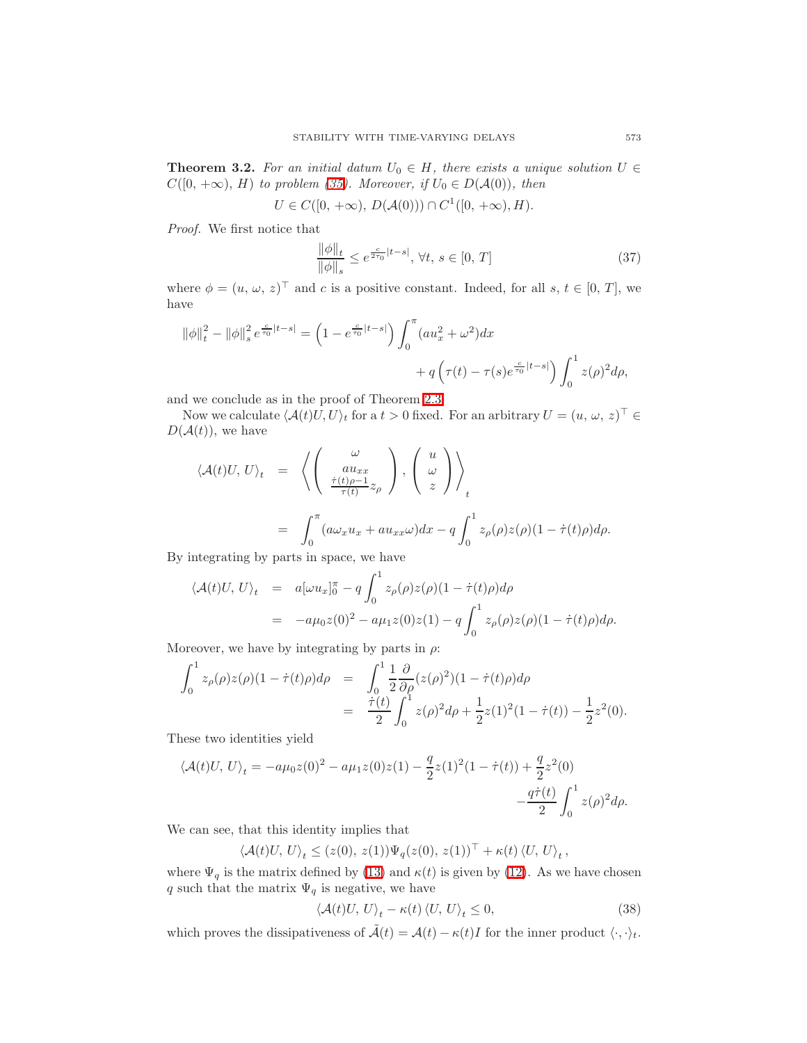**Theorem 3.2.** For an initial datum  $U_0 \in H$ , there exists a unique solution  $U \in$  $C([0, +\infty), H)$  to problem [\(35\)](#page-12-1). Moreover, if  $U_0 \in D(A(0))$ , then

$$
U \in C([0, +\infty), D(\mathcal{A}(0))) \cap C^1([0, +\infty), H).
$$

<span id="page-14-0"></span>Proof. We first notice that

$$
\frac{\|\phi\|_{t}}{\|\phi\|_{s}} \le e^{\frac{c}{2\tau_{0}}|t-s|}, \forall t, s \in [0, T]
$$
\n(37)

where  $\phi = (u, \omega, z)^{\top}$  and c is a positive constant. Indeed, for all  $s, t \in [0, T]$ , we have

$$
\begin{aligned} \left\|\phi\right\|_{t}^{2}-\left\|\phi\right\|_{s}^{2}e^{\frac{c}{\tau_{0}}\left|t-s\right|}=\left(1-e^{\frac{c}{\tau_{0}}\left|t-s\right|}\right)\int_{0}^{\pi}(au_{x}^{2}+\omega^{2})dx\\ &+q\left(\tau(t)-\tau(s)e^{\frac{c}{\tau_{0}}\left|t-s\right|}\right)\int_{0}^{1}z(\rho)^{2}d\rho, \end{aligned}
$$

and we conclude as in the proof of Theorem [2.3.](#page-3-4)

Now we calculate  $\langle \mathcal{A}(t)U, U \rangle_t$  for a  $t > 0$  fixed. For an arbitrary  $U = (u, \omega, z)^\top \in$  $D(\mathcal{A}(t))$ , we have

$$
\langle A(t)U, U \rangle_t = \left\langle \begin{pmatrix} \omega \\ au_{xx} \\ \frac{\dot{\tau}(t)\rho - 1}{\tau(t)} z_\rho \end{pmatrix}, \begin{pmatrix} u \\ \omega \\ z \end{pmatrix} \right\rangle_t
$$
  
= 
$$
\int_0^\pi (a\omega_x u_x + a u_{xx}\omega) dx - q \int_0^1 z_\rho(\rho) z(\rho) (1 - \dot{\tau}(t)\rho) d\rho.
$$

By integrating by parts in space, we have

$$
\langle A(t)U, U \rangle_t = a[\omega u_x]_0^{\pi} - q \int_0^1 z_{\rho}(\rho)z(\rho)(1 - \dot{\tau}(t)\rho)d\rho \n= -a\mu_0 z(0)^2 - a\mu_1 z(0)z(1) - q \int_0^1 z_{\rho}(\rho)z(\rho)(1 - \dot{\tau}(t)\rho)d\rho.
$$

Moreover, we have by integrating by parts in  $\rho$ :

$$
\int_0^1 z_\rho(\rho) z(\rho) (1 - \dot{\tau}(t)\rho) d\rho = \int_0^1 \frac{1}{2} \frac{\partial}{\partial \rho} (z(\rho)^2) (1 - \dot{\tau}(t)\rho) d\rho
$$
  
= 
$$
\frac{\dot{\tau}(t)}{2} \int_0^1 z(\rho)^2 d\rho + \frac{1}{2} z(1)^2 (1 - \dot{\tau}(t)) - \frac{1}{2} z^2(0).
$$

These two identities yield

$$
\langle \mathcal{A}(t)U, U \rangle_t = -a\mu_0 z(0)^2 - a\mu_1 z(0)z(1) - \frac{q}{2}z(1)^2(1 - \dot{\tau}(t)) + \frac{q}{2}z^2(0) - \frac{q\dot{\tau}(t)}{2} \int_0^1 z(\rho)^2 d\rho.
$$

We can see, that this identity implies that

 $\langle \mathcal{A}(t)U, U \rangle_t \leq (z(0), z(1)) \Psi_q(z(0), z(1))^{\top} + \kappa(t) \langle U, U \rangle_t,$ 

where  $\Psi_q$  is the matrix defined by [\(13\)](#page-5-2) and  $\kappa(t)$  is given by [\(12\)](#page-5-3). As we have chosen q such that the matrix  $\Psi_q$  is negative, we have

$$
\langle \mathcal{A}(t)U, U \rangle_t - \kappa(t) \langle U, U \rangle_t \le 0, \tag{38}
$$

<span id="page-14-1"></span>which proves the dissipativeness of  $\tilde{\mathcal{A}}(t) = \mathcal{A}(t) - \kappa(t)I$  for the inner product  $\langle \cdot, \cdot \rangle_t$ .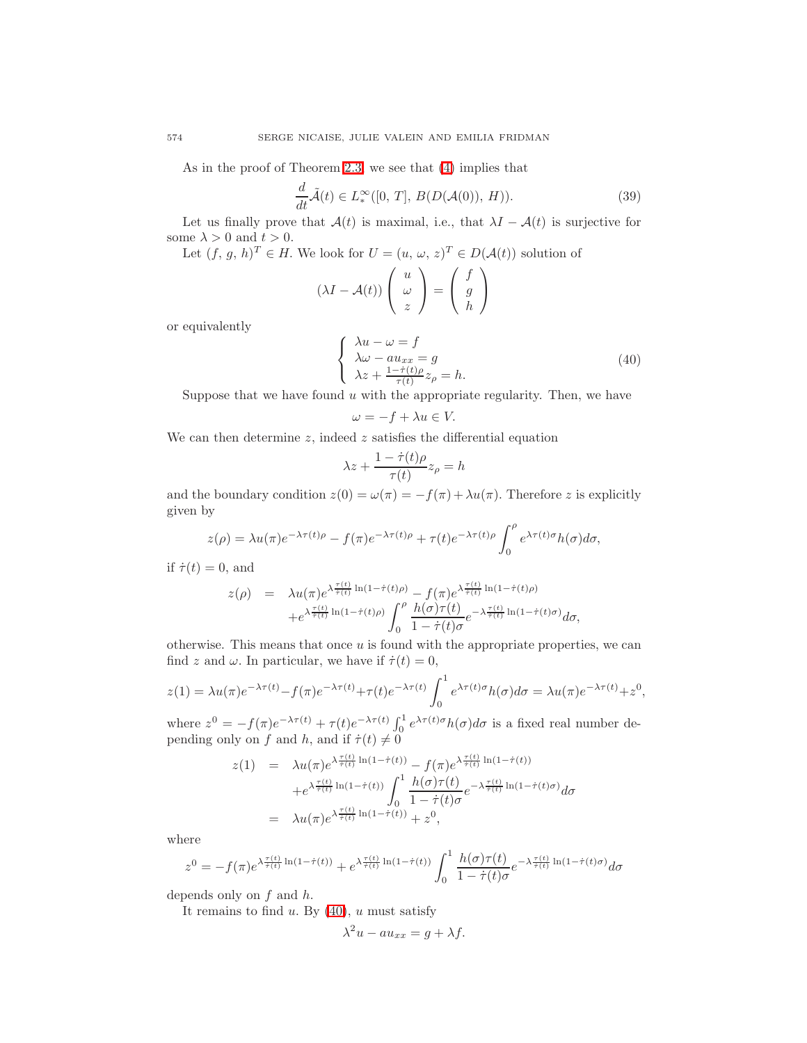<span id="page-15-1"></span>As in the proof of Theorem [2.3,](#page-3-4) we see that [\(4\)](#page-1-1) implies that

$$
\frac{d}{dt}\tilde{\mathcal{A}}(t) \in L^{\infty}_{*}([0, T], B(D(\mathcal{A}(0)), H)).
$$
\n(39)

Let us finally prove that  $\mathcal{A}(t)$  is maximal, i.e., that  $\lambda I - \mathcal{A}(t)$  is surjective for some  $\lambda>0$  and  $t>0.$ 

Let  $(f, g, h)^T \in H$ . We look for  $U = (u, \omega, z)^T \in D(\mathcal{A}(t))$  solution of

$$
(\lambda I - \mathcal{A}(t)) \left( \begin{array}{c} u \\ \omega \\ z \end{array} \right) = \left( \begin{array}{c} f \\ g \\ h \end{array} \right)
$$

or equivalently

$$
\begin{cases}\n\lambda u - \omega = f \\
\lambda \omega - au_{xx} = g \\
\lambda z + \frac{1 - \dot{\tau}(t)\rho}{\tau(t)} z_{\rho} = h.\n\end{cases}
$$
\n(40)

<span id="page-15-0"></span>Suppose that we have found  $u$  with the appropriate regularity. Then, we have

$$
\omega = -f + \lambda u \in V.
$$

We can then determine  $z$ , indeed  $z$  satisfies the differential equation

$$
\lambda z + \frac{1 - \dot{\tau}(t)\rho}{\tau(t)} z_{\rho} = h
$$

and the boundary condition  $z(0) = \omega(\pi) = -f(\pi) + \lambda u(\pi)$ . Therefore z is explicitly given by

$$
z(\rho) = \lambda u(\pi) e^{-\lambda \tau(t)\rho} - f(\pi) e^{-\lambda \tau(t)\rho} + \tau(t) e^{-\lambda \tau(t)\rho} \int_0^{\rho} e^{\lambda \tau(t)\sigma} h(\sigma) d\sigma,
$$

if  $\dot{\tau}(t) = 0$ , and

$$
z(\rho) = \lambda u(\pi) e^{\lambda \frac{\tau(t)}{\tilde{\tau}(t)} \ln(1 - \dot{\tau}(t)\rho)} - f(\pi) e^{\lambda \frac{\tau(t)}{\tilde{\tau}(t)} \ln(1 - \dot{\tau}(t)\rho)}
$$

$$
+ e^{\lambda \frac{\tau(t)}{\tilde{\tau}(t)} \ln(1 - \dot{\tau}(t)\rho)} \int_0^\rho \frac{h(\sigma)\tau(t)}{1 - \dot{\tau}(t)\sigma} e^{-\lambda \frac{\tau(t)}{\tilde{\tau}(t)} \ln(1 - \dot{\tau}(t)\sigma)} d\sigma,
$$

otherwise. This means that once  $u$  is found with the appropriate properties, we can find z and  $\omega$ . In particular, we have if  $\dot{\tau}(t) = 0$ ,

$$
z(1) = \lambda u(\pi) e^{-\lambda \tau(t)} - f(\pi) e^{-\lambda \tau(t)} + \tau(t) e^{-\lambda \tau(t)} \int_0^1 e^{\lambda \tau(t) \sigma} h(\sigma) d\sigma = \lambda u(\pi) e^{-\lambda \tau(t)} + z^0,
$$

where  $z^0 = -f(\pi)e^{-\lambda \tau(t)} + \tau(t)e^{-\lambda \tau(t)} \int_0^1 e^{\lambda \tau(t)\sigma} h(\sigma) d\sigma$  is a fixed real number depending only on f and h, and if  $\dot{\tau}(t) \neq 0$ 

$$
z(1) = \lambda u(\pi) e^{\lambda \frac{\tau(t)}{\bar{\tau}(t)} \ln(1 - \dot{\tau}(t))} - f(\pi) e^{\lambda \frac{\tau(t)}{\bar{\tau}(t)} \ln(1 - \dot{\tau}(t))} + e^{\lambda \frac{\tau(t)}{\bar{\tau}(t)} \ln(1 - \dot{\tau}(t))} \int_0^1 \frac{h(\sigma) \tau(t)}{1 - \dot{\tau}(t)\sigma} e^{-\lambda \frac{\tau(t)}{\bar{\tau}(t)} \ln(1 - \dot{\tau}(t)\sigma)} d\sigma = \lambda u(\pi) e^{\lambda \frac{\tau(t)}{\bar{\tau}(t)} \ln(1 - \dot{\tau}(t))} + z^0,
$$

where

$$
z^{0} = -f(\pi)e^{\lambda \frac{\tau(t)}{\tau(t)}\ln(1-\dot{\tau}(t))} + e^{\lambda \frac{\tau(t)}{\dot{\tau}(t)}\ln(1-\dot{\tau}(t))} \int_{0}^{1} \frac{h(\sigma)\tau(t)}{1-\dot{\tau}(t)\sigma} e^{-\lambda \frac{\tau(t)}{\dot{\tau}(t)}\ln(1-\dot{\tau}(t)\sigma)} d\sigma
$$

depends only on  $f$  and  $h$ .

It remains to find  $u$ . By  $(40)$ ,  $u$  must satisfy

$$
\lambda^2 u - au_{xx} = g + \lambda f.
$$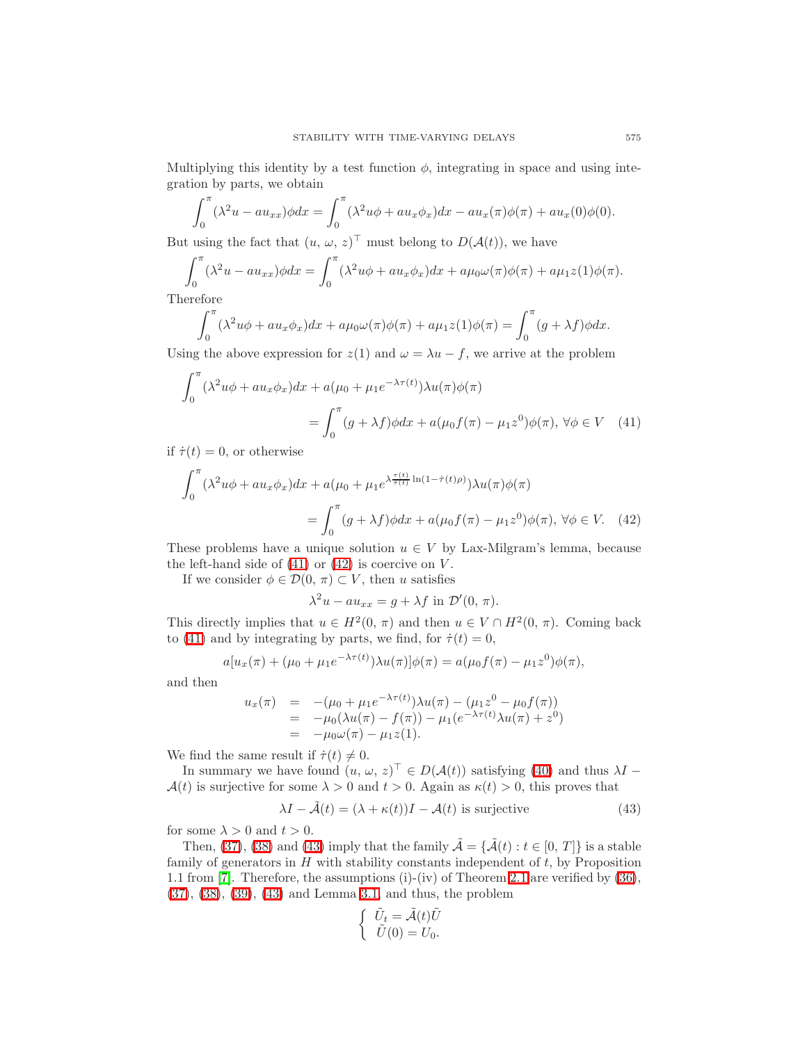Multiplying this identity by a test function  $\phi$ , integrating in space and using integration by parts, we obtain

$$
\int_0^{\pi} (\lambda^2 u - au_{xx}) \phi dx = \int_0^{\pi} (\lambda^2 u \phi + au_x \phi_x) dx - au_x(\pi) \phi(\pi) + au_x(0) \phi(0).
$$

But using the fact that  $(u, \omega, z)$ <sup>T</sup> must belong to  $D(\mathcal{A}(t))$ , we have

$$
\int_0^{\pi} (\lambda^2 u - au_{xx}) \phi dx = \int_0^{\pi} (\lambda^2 u \phi + au_x \phi_x) dx + a\mu_0 \omega(\pi) \phi(\pi) + a\mu_1 z(1) \phi(\pi).
$$

Therefore

$$
\int_0^{\pi} (\lambda^2 u \phi + a u_x \phi_x) dx + a \mu_0 \omega(\pi) \phi(\pi) + a \mu_1 z(1) \phi(\pi) = \int_0^{\pi} (g + \lambda f) \phi dx.
$$

Using the above expression for  $z(1)$  and  $\omega = \lambda u - f$ , we arrive at the problem

$$
\int_0^\pi (\lambda^2 u \phi + a u_x \phi_x) dx + a(\mu_0 + \mu_1 e^{-\lambda \tau(t)}) \lambda u(\pi) \phi(\pi)
$$
  
= 
$$
\int_0^\pi (g + \lambda f) \phi dx + a(\mu_0 f(\pi) - \mu_1 z^0) \phi(\pi), \forall \phi \in V \quad (41)
$$

if  $\dot{\tau}(t) = 0$ , or otherwise

$$
\int_0^\pi (\lambda^2 u \phi + a u_x \phi_x) dx + a(\mu_0 + \mu_1 e^{\lambda \frac{\tau(t)}{\tau(t)} \ln(1 - \dot{\tau}(t)\rho)}) \lambda u(\pi) \phi(\pi)
$$

$$
= \int_0^\pi (g + \lambda f) \phi dx + a(\mu_0 f(\pi) - \mu_1 z^0) \phi(\pi), \forall \phi \in V. \quad (42)
$$

These problems have a unique solution  $u \in V$  by Lax-Milgram's lemma, because the left-hand side of  $(41)$  or  $(42)$  is coercive on V.

If we consider  $\phi \in \mathcal{D}(0, \pi) \subset V$ , then u satisfies

<span id="page-16-1"></span><span id="page-16-0"></span>
$$
\lambda^2 u - au_{xx} = g + \lambda f \text{ in } \mathcal{D}'(0, \pi).
$$

This directly implies that  $u \in H^2(0, \pi)$  and then  $u \in V \cap H^2(0, \pi)$ . Coming back to [\(41\)](#page-16-0) and by integrating by parts, we find, for  $\dot{\tau}(t) = 0$ ,

$$
a[u_x(\pi) + (\mu_0 + \mu_1 e^{-\lambda \tau(t)})\lambda u(\pi)]\phi(\pi) = a(\mu_0 f(\pi) - \mu_1 z^0)\phi(\pi),
$$

and then

$$
u_x(\pi) = -(\mu_0 + \mu_1 e^{-\lambda \tau(t)}) \lambda u(\pi) - (\mu_1 z^0 - \mu_0 f(\pi))
$$
  
= -\mu\_0(\lambda u(\pi) - f(\pi)) - \mu\_1(e^{-\lambda \tau(t)} \lambda u(\pi) + z^0)  
= -\mu\_0 \omega(\pi) - \mu\_1 z(1).

We find the same result if  $\dot{\tau}(t) \neq 0$ .

In summary we have found  $(u, \omega, z)^{\top} \in D(A(t))$  satisfying [\(40\)](#page-15-0) and thus  $\lambda I$  –  $\mathcal{A}(t)$  is surjective for some  $\lambda > 0$  and  $t > 0$ . Again as  $\kappa(t) > 0$ , this proves that

$$
\lambda I - \tilde{\mathcal{A}}(t) = (\lambda + \kappa(t))I - \mathcal{A}(t) \text{ is surjective}
$$
\n(43)

<span id="page-16-2"></span>for some  $\lambda > 0$  and  $t > 0$ .

Then, [\(37\)](#page-14-0), [\(38\)](#page-14-1) and [\(43\)](#page-16-2) imply that the family  $\tilde{\mathcal{A}} = {\{\tilde{\mathcal{A}}(t) : t \in [0, T]\}}$  is a stable family of generators in  $H$  with stability constants independent of  $t$ , by Proposition 1.1 from [\[7\]](#page-21-7). Therefore, the assumptions (i)-(iv) of Theorem [2.1](#page-3-1) are verified by [\(36\)](#page-13-0), [\(37\)](#page-14-0), [\(38\)](#page-14-1), [\(39\)](#page-15-1), [\(43\)](#page-16-2) and Lemma [3.1,](#page-13-1) and thus, the problem

$$
\begin{cases} \tilde{U}_t = \tilde{\mathcal{A}}(t)\tilde{U} \\ \tilde{U}(0) = U_0. \end{cases}
$$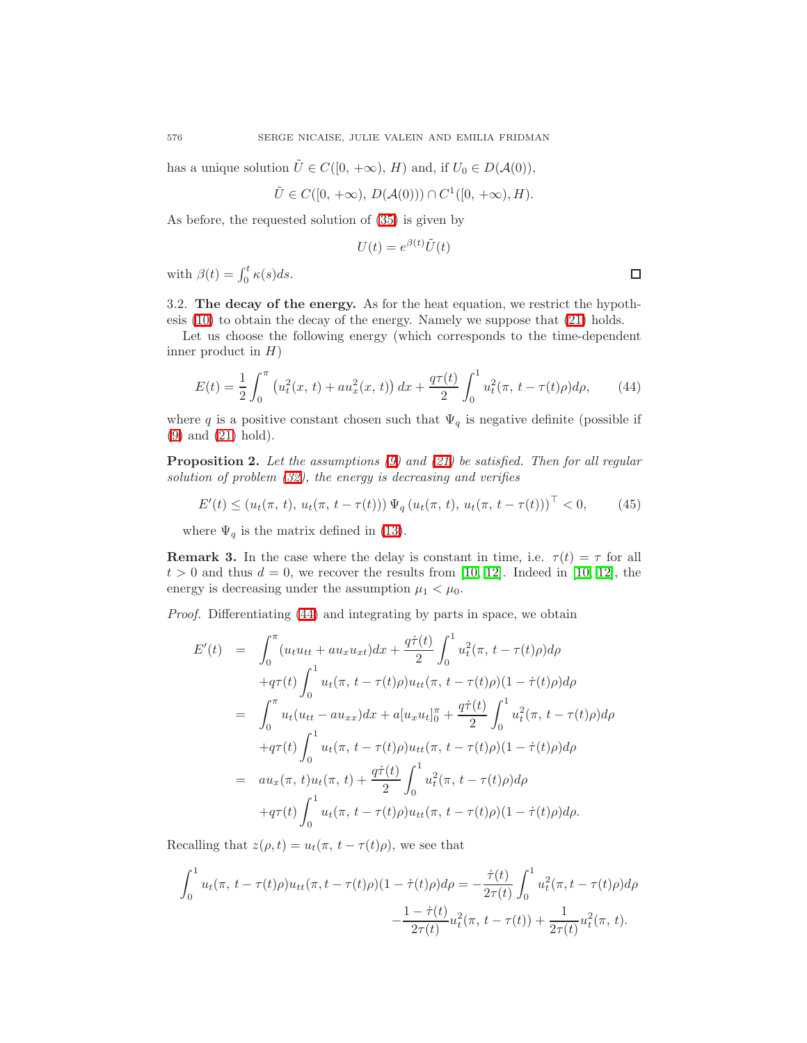has a unique solution  $\tilde{U} \in C([0, +\infty), H)$  and, if  $U_0 \in D(A(0)),$ 

$$
\tilde{U} \in C([0, +\infty), D(\mathcal{A}(0))) \cap C^1([0, +\infty), H).
$$

As before, the requested solution of [\(35\)](#page-12-1) is given by

$$
U(t) = e^{\beta(t)} \tilde{U}(t)
$$

with  $\beta(t) = \int_0^t \kappa(s)ds$ .

3.2. The decay of the energy. As for the heat equation, we restrict the hypothesis [\(10\)](#page-3-0) to obtain the decay of the energy. Namely we suppose that [\(21\)](#page-8-0) holds.

Let us choose the following energy (which corresponds to the time-dependent inner product in  $H$ )

$$
E(t) = \frac{1}{2} \int_0^{\pi} \left( u_t^2(x, t) + a u_x^2(x, t) \right) dx + \frac{q \tau(t)}{2} \int_0^1 u_t^2(\pi, t - \tau(t)\rho) d\rho, \qquad (44)
$$

<span id="page-17-0"></span>where q is a positive constant chosen such that  $\Psi_q$  is negative definite (possible if [\(9\)](#page-3-3) and [\(21\)](#page-8-0) hold).

**Proposition 2.** Let the assumptions  $(9)$  and  $(21)$  be satisfied. Then for all regular solution of problem [\(32\)](#page-12-0), the energy is decreasing and verifies

$$
E'(t) \le (u_t(\pi, t), u_t(\pi, t - \tau(t))) \Psi_q(u_t(\pi, t), u_t(\pi, t - \tau(t)))^\top < 0,
$$
 (45)

where  $\Psi_q$  is the matrix defined in [\(13\)](#page-5-2).

**Remark 3.** In the case where the delay is constant in time, i.e.  $\tau(t) = \tau$  for all  $t > 0$  and thus  $d = 0$ , we recover the results from [\[10,](#page-21-3) [12\]](#page-22-3). Indeed in [10, 12], the energy is decreasing under the assumption  $\mu_1 < \mu_0$ .

Proof. Differentiating [\(44\)](#page-17-0) and integrating by parts in space, we obtain

$$
E'(t) = \int_0^{\pi} (u_t u_{tt} + a u_x u_{xt}) dx + \frac{q\dot{\tau}(t)}{2} \int_0^1 u_t^2(\pi, t - \tau(t)\rho) d\rho
$$
  
\n
$$
+q\tau(t) \int_0^1 u_t(\pi, t - \tau(t)\rho) u_{tt}(\pi, t - \tau(t)\rho) (1 - \dot{\tau}(t)\rho) d\rho
$$
  
\n
$$
= \int_0^{\pi} u_t (u_{tt} - a u_{xx}) dx + a[u_x u_t]_0^{\pi} + \frac{q\dot{\tau}(t)}{2} \int_0^1 u_t^2(\pi, t - \tau(t)\rho) d\rho
$$
  
\n
$$
+q\tau(t) \int_0^1 u_t(\pi, t - \tau(t)\rho) u_{tt}(\pi, t - \tau(t)\rho) (1 - \dot{\tau}(t)\rho) d\rho
$$
  
\n
$$
= a u_x(\pi, t) u_t(\pi, t) + \frac{q\dot{\tau}(t)}{2} \int_0^1 u_t^2(\pi, t - \tau(t)\rho) d\rho
$$
  
\n
$$
+q\tau(t) \int_0^1 u_t(\pi, t - \tau(t)\rho) u_{tt}(\pi, t - \tau(t)\rho) (1 - \dot{\tau}(t)\rho) d\rho.
$$

Recalling that  $z(\rho, t) = u_t(\pi, t - \tau(t)\rho)$ , we see that

$$
\int_0^1 u_t(\pi, t - \tau(t)\rho)u_{tt}(\pi, t - \tau(t)\rho)(1 - \dot{\tau}(t)\rho)d\rho = -\frac{\dot{\tau}(t)}{2\tau(t)} \int_0^1 u_t^2(\pi, t - \tau(t)\rho)d\rho \n- \frac{1 - \dot{\tau}(t)}{2\tau(t)} u_t^2(\pi, t - \tau(t)) + \frac{1}{2\tau(t)} u_t^2(\pi, t).
$$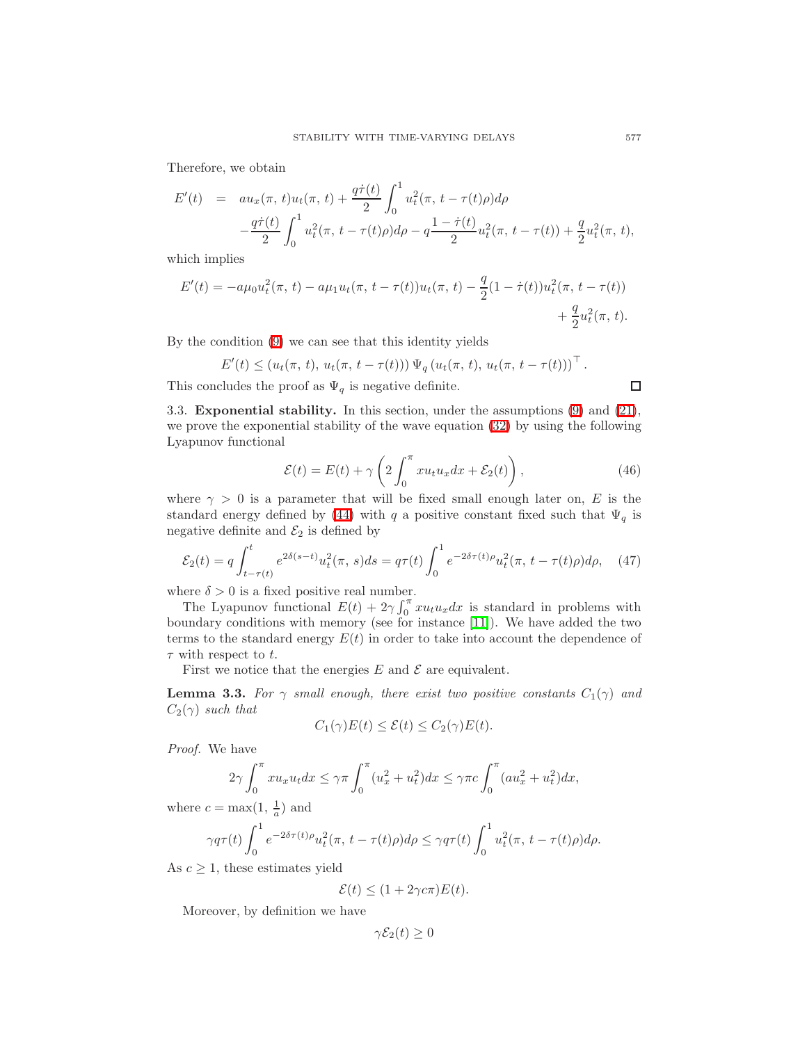Therefore, we obtain

$$
E'(t) = au_x(\pi, t)u_t(\pi, t) + \frac{q\dot{\tau}(t)}{2} \int_0^1 u_t^2(\pi, t - \tau(t)\rho)d\rho
$$
  

$$
-\frac{q\dot{\tau}(t)}{2} \int_0^1 u_t^2(\pi, t - \tau(t)\rho)d\rho - q\frac{1 - \dot{\tau}(t)}{2}u_t^2(\pi, t - \tau(t)) + \frac{q}{2}u_t^2(\pi, t),
$$

which implies

$$
E'(t) = -a\mu_0 u_t^2(\pi, t) - a\mu_1 u_t(\pi, t - \tau(t))u_t(\pi, t) - \frac{q}{2}(1 - \dot{\tau}(t))u_t^2(\pi, t - \tau(t)) + \frac{q}{2}u_t^2(\pi, t).
$$

By the condition [\(9\)](#page-3-3) we can see that this identity yields

$$
E'(t) \leq (u_t(\pi, t), u_t(\pi, t - \tau(t))) \Psi_q(u_t(\pi, t), u_t(\pi, t - \tau(t)))^\top.
$$

This concludes the proof as  $\Psi_q$  is negative definite.

3.3. Exponential stability. In this section, under the assumptions [\(9\)](#page-3-3) and [\(21\)](#page-8-0), we prove the exponential stability of the wave equation [\(32\)](#page-12-0) by using the following Lyapunov functional

$$
\mathcal{E}(t) = E(t) + \gamma \left( 2 \int_0^\pi x u_t u_x dx + \mathcal{E}_2(t) \right), \tag{46}
$$

<span id="page-18-0"></span>where  $\gamma > 0$  is a parameter that will be fixed small enough later on, E is the standard energy defined by [\(44\)](#page-17-0) with q a positive constant fixed such that  $\Psi_q$  is negative definite and  $\mathcal{E}_2$  is defined by

$$
\mathcal{E}_2(t) = q \int_{t-\tau(t)}^t e^{2\delta(s-t)} u_t^2(\pi, s) ds = q\tau(t) \int_0^1 e^{-2\delta\tau(t)\rho} u_t^2(\pi, t-\tau(t)\rho) d\rho, \quad (47)
$$

<span id="page-18-1"></span>where  $\delta > 0$  is a fixed positive real number.

The Lyapunov functional  $E(t) + 2\gamma \int_0^{\pi} x u_t u_x dx$  is standard in problems with boundary conditions with memory (see for instance [\[11\]](#page-22-5)). We have added the two terms to the standard energy  $E(t)$  in order to take into account the dependence of  $\tau$  with respect to t.

First we notice that the energies  $E$  and  $\mathcal E$  are equivalent.

<span id="page-18-2"></span>**Lemma 3.3.** For  $\gamma$  small enough, there exist two positive constants  $C_1(\gamma)$  and  $C_2(\gamma)$  such that

$$
C_1(\gamma)E(t) \leq \mathcal{E}(t) \leq C_2(\gamma)E(t).
$$

Proof. We have

$$
2\gamma \int_0^\pi x u_x u_t dx \le \gamma \pi \int_0^\pi (u_x^2 + u_t^2) dx \le \gamma \pi c \int_0^\pi (au_x^2 + u_t^2) dx,
$$

where  $c = \max(1, \frac{1}{a})$  and

$$
\gamma q \tau(t) \int_0^1 e^{-2\delta \tau(t)\rho} u_t^2(\pi, t - \tau(t)\rho) d\rho \leq \gamma q \tau(t) \int_0^1 u_t^2(\pi, t - \tau(t)\rho) d\rho.
$$

As  $c \geq 1$ , these estimates yield

$$
\mathcal{E}(t) \le (1 + 2\gamma c \pi) E(t).
$$

Moreover, by definition we have

$$
\gamma \mathcal{E}_2(t) \ge 0
$$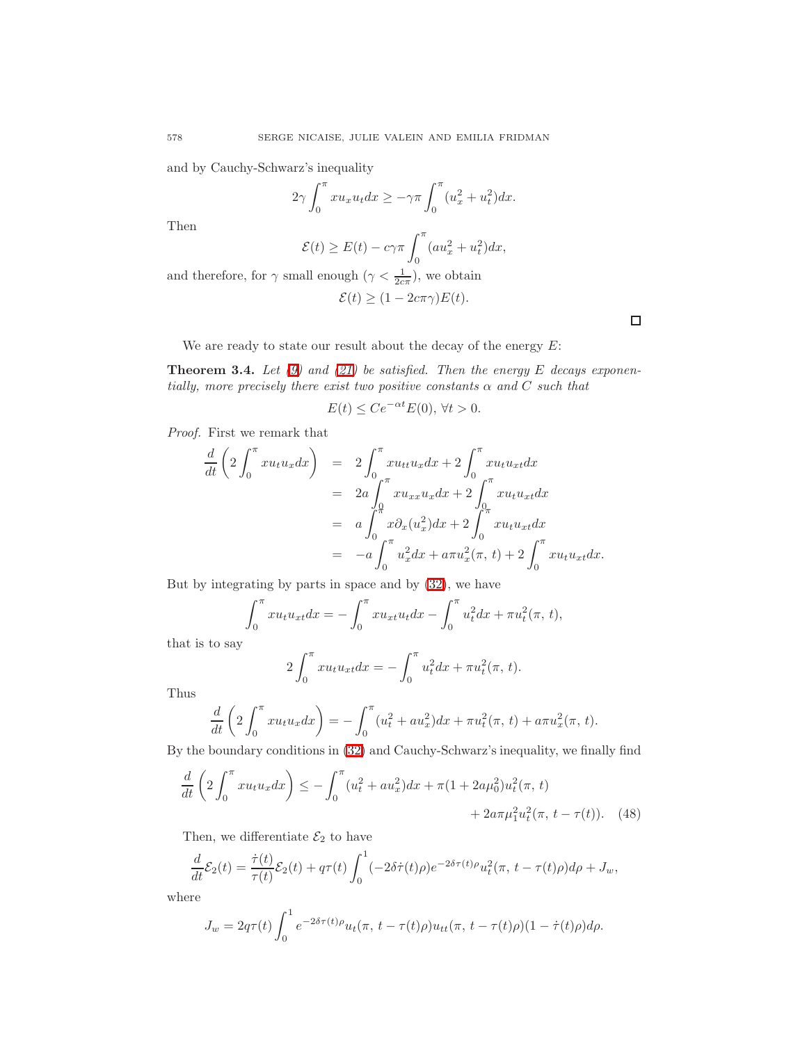and by Cauchy-Schwarz's inequality

$$
2\gamma \int_0^\pi x u_x u_t dx \geq -\gamma \pi \int_0^\pi (u_x^2 + u_t^2) dx.
$$

Then

$$
\mathcal{E}(t) \ge E(t) - c\gamma \pi \int_0^{\pi} (au_x^2 + u_t^2) dx,
$$

and therefore, for  $\gamma$  small enough  $(\gamma < \frac{1}{2c\pi})$ , we obtain

$$
\mathcal{E}(t) \ge (1 - 2c\pi\gamma)E(t).
$$

We are ready to state our result about the decay of the energy  $E$ :

<span id="page-19-1"></span>**Theorem 3.4.** Let  $(9)$  and  $(21)$  be satisfied. Then the energy E decays exponentially, more precisely there exist two positive constants  $\alpha$  and  $C$  such that

$$
E(t) \le Ce^{-\alpha t} E(0), \,\forall t > 0.
$$

Proof. First we remark that

$$
\frac{d}{dt}\left(2\int_0^\pi xu_tu_xdx\right) = 2\int_0^\pi xu_tu_xdx + 2\int_0^\pi xu_tu_xdx
$$
  
\n
$$
= 2a\int_0^\pi xu_{xx}u_xdx + 2\int_0^\pi xu_tu_{xt}dx
$$
  
\n
$$
= a\int_0^\pi x\partial_x(u_x^2)dx + 2\int_0^\pi xu_tu_{xt}dx
$$
  
\n
$$
= -a\int_0^\pi u_x^2dx + a\pi u_x^2(\pi, t) + 2\int_0^\pi xu_tu_{xt}dx.
$$

But by integrating by parts in space and by [\(32\)](#page-12-0), we have

$$
\int_0^{\pi} x u_t u_{xt} dx = -\int_0^{\pi} x u_{xt} u_t dx - \int_0^{\pi} u_t^2 dx + \pi u_t^2(\pi, t),
$$

that is to say

<span id="page-19-0"></span>
$$
2\int_0^{\pi} x u_t u_{xt} dx = -\int_0^{\pi} u_t^2 dx + \pi u_t^2(\pi, t).
$$

Thus

$$
\frac{d}{dt}\left(2\int_0^{\pi} x u_t u_x dx\right) = -\int_0^{\pi} (u_t^2 + au_x^2) dx + \pi u_t^2(\pi, t) + a\pi u_x^2(\pi, t).
$$

By the boundary conditions in [\(32\)](#page-12-0) and Cauchy-Schwarz's inequality, we finally find

$$
\frac{d}{dt}\left(2\int_0^{\pi} x u_t u_x dx\right) \le -\int_0^{\pi} (u_t^2 + a u_x^2) dx + \pi (1 + 2a\mu_0^2) u_t^2(\pi, t) + 2a\pi \mu_1^2 u_t^2(\pi, t - \tau(t)).
$$
\n(48)

Then, we differentiate  $\mathcal{E}_2$  to have

$$
\frac{d}{dt}\mathcal{E}_2(t) = \frac{\dot{\tau}(t)}{\tau(t)}\mathcal{E}_2(t) + q\tau(t)\int_0^1 (-2\delta\dot{\tau}(t)\rho)e^{-2\delta\tau(t)\rho}u_t^2(\pi, t-\tau(t)\rho)d\rho + J_w,
$$

where

$$
J_w = 2q\tau(t) \int_0^1 e^{-2\delta \tau(t)\rho} u_t(\pi, t - \tau(t)\rho) u_{tt}(\pi, t - \tau(t)\rho) (1 - \dot{\tau}(t)\rho) d\rho.
$$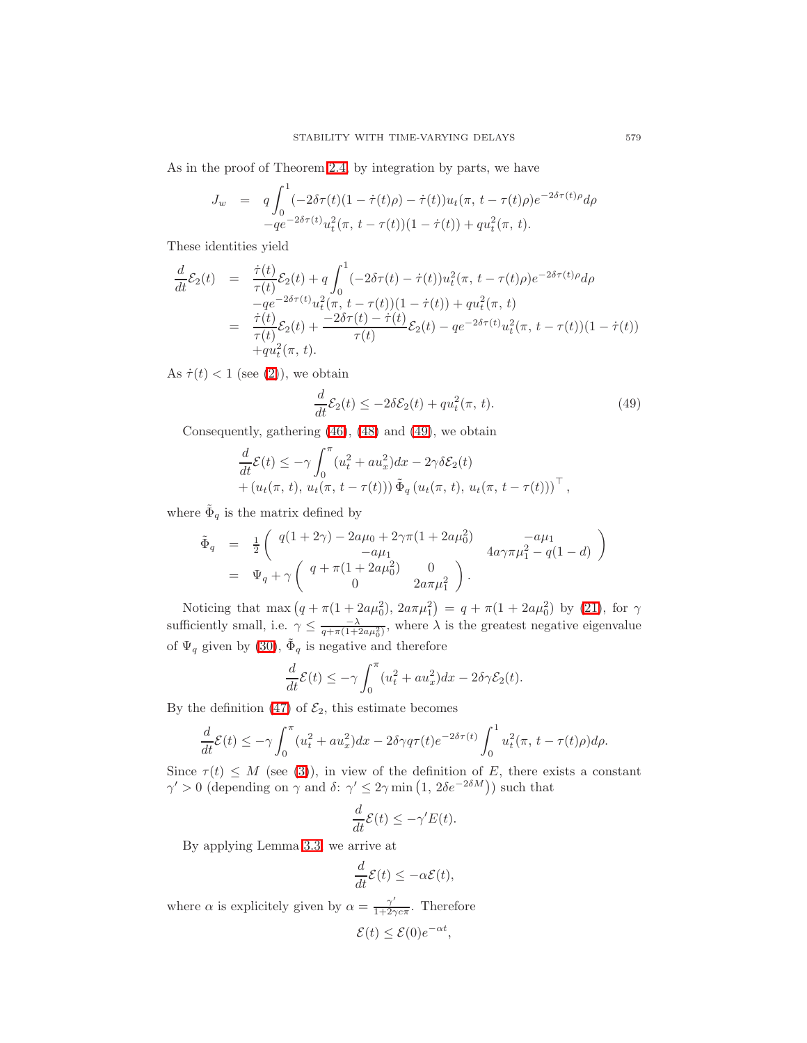As in the proof of Theorem [2.4,](#page-9-3) by integration by parts, we have

$$
J_w = q \int_0^1 (-2\delta \tau(t)(1 - \dot{\tau}(t)\rho) - \dot{\tau}(t))u_t(\pi, t - \tau(t)\rho)e^{-2\delta \tau(t)\rho}d\rho -qe^{-2\delta \tau(t)}u_t^2(\pi, t - \tau(t))(1 - \dot{\tau}(t)) + qu_t^2(\pi, t).
$$

These identities yield

$$
\frac{d}{dt}\mathcal{E}_2(t) = \frac{\dot{\tau}(t)}{\tau(t)}\mathcal{E}_2(t) + q \int_0^1 (-2\delta\tau(t) - \dot{\tau}(t))u_t^2(\pi, t - \tau(t)\rho)e^{-2\delta\tau(t)\rho}d\rho \n-qe^{-2\delta\tau(t)}u_t^2(\pi, t - \tau(t))(1 - \dot{\tau}(t)) + qu_t^2(\pi, t) \n= \frac{\dot{\tau}(t)}{\tau(t)}\mathcal{E}_2(t) + \frac{-2\delta\tau(t) - \dot{\tau}(t)}{\tau(t)}\mathcal{E}_2(t) - qe^{-2\delta\tau(t)}u_t^2(\pi, t - \tau(t))(1 - \dot{\tau}(t)) \n+qu_t^2(\pi, t).
$$

As  $\dot{\tau}(t) < 1$  (see [\(2\)](#page-1-3)), we obtain

$$
\frac{d}{dt}\mathcal{E}_2(t) \le -2\delta \mathcal{E}_2(t) + qu_t^2(\pi, t). \tag{49}
$$

<span id="page-20-0"></span>Consequently, gathering [\(46\)](#page-18-0), [\(48\)](#page-19-0) and [\(49\)](#page-20-0), we obtain

$$
\frac{d}{dt}\mathcal{E}(t) \leq -\gamma \int_0^{\pi} (u_t^2 + au_x^2) dx - 2\gamma \delta \mathcal{E}_2(t) + (u_t(\pi, t), u_t(\pi, t - \tau(t))) \tilde{\Phi}_q (u_t(\pi, t), u_t(\pi, t - \tau(t)))^{\top},
$$

where  $\tilde{\Phi}_q$  is the matrix defined by

$$
\begin{array}{rcl}\n\tilde{\Phi}_q & = & \frac{1}{2} \left( \begin{array}{cc} q(1+2\gamma) - 2a\mu_0 + 2\gamma\pi(1+2a\mu_0^2) & -a\mu_1 \\ -a\mu_1 & 4a\gamma\pi\mu_1^2 - q(1-d) \end{array} \right) \\
& = & \Psi_q + \gamma \left( \begin{array}{cc} q + \pi(1+2a\mu_0^2) & 0 \\ 0 & 2a\pi\mu_1^2 \end{array} \right).\n\end{array}
$$

Noticing that max  $(q + \pi(1 + 2a\mu_0^2), 2a\pi\mu_1^2) = q + \pi(1 + 2a\mu_0^2)$  by [\(21\)](#page-8-0), for  $\gamma$ sufficiently small, i.e.  $\gamma \leq \frac{-\lambda}{q + \pi(1 + 2a\mu_0^2)}$ , where  $\lambda$  is the greatest negative eigenvalue of  $\Psi_q$  given by [\(30\)](#page-11-1),  $\tilde{\Phi}_q$  is negative and therefore

$$
\frac{d}{dt}\mathcal{E}(t) \le -\gamma \int_0^\pi (u_t^2 + au_x^2) dx - 2\delta \gamma \mathcal{E}_2(t).
$$

By the definition [\(47\)](#page-18-1) of  $\mathcal{E}_2$ , this estimate becomes

$$
\frac{d}{dt}\mathcal{E}(t) \le -\gamma \int_0^\pi (u_t^2 + au_x^2) dx - 2\delta\gamma q\tau(t)e^{-2\delta\tau(t)} \int_0^1 u_t^2(\pi, t - \tau(t)\rho)d\rho.
$$

Since  $\tau(t) \leq M$  (see [\(3\)](#page-1-2)), in view of the definition of E, there exists a constant  $\gamma' > 0$  (depending on  $\gamma$  and  $\delta: \gamma' \leq 2\gamma \min(1, 2\delta e^{-2\delta M})$ ) such that

$$
\frac{d}{dt}\mathcal{E}(t) \le -\gamma' E(t).
$$

By applying Lemma [3.3,](#page-18-2) we arrive at

$$
\frac{d}{dt}\mathcal{E}(t) \le -\alpha \mathcal{E}(t),
$$

where  $\alpha$  is explicitely given by  $\alpha = \frac{\gamma'}{1+\gamma^2}$  $\frac{\gamma}{1+2\gamma c\pi}$ . Therefore

$$
\mathcal{E}(t) \le \mathcal{E}(0)e^{-\alpha t},
$$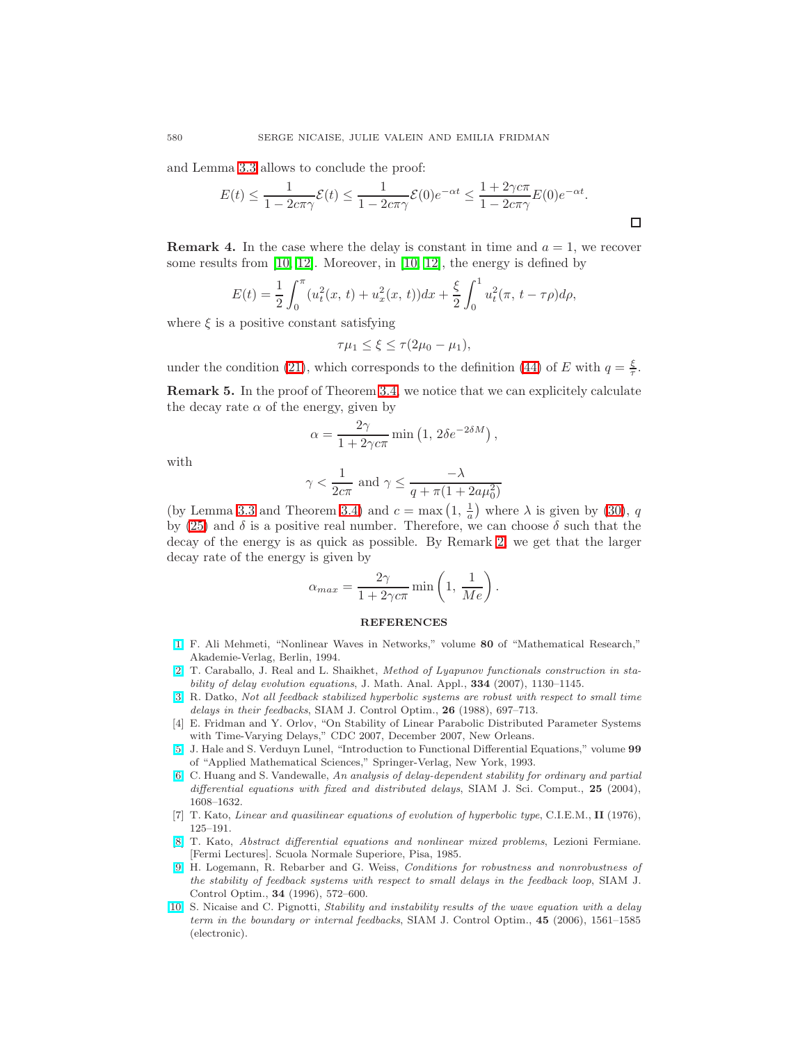and Lemma [3.3](#page-18-2) allows to conclude the proof:

$$
E(t) \le \frac{1}{1 - 2c\pi\gamma} \mathcal{E}(t) \le \frac{1}{1 - 2c\pi\gamma} \mathcal{E}(0)e^{-\alpha t} \le \frac{1 + 2\gamma c\pi}{1 - 2c\pi\gamma} E(0)e^{-\alpha t}.
$$

**Remark 4.** In the case where the delay is constant in time and  $a = 1$ , we recover some results from [\[10,](#page-21-3) [12\]](#page-22-3). Moreover, in [10, 12], the energy is defined by

$$
E(t) = \frac{1}{2} \int_0^{\pi} (u_t^2(x, t) + u_x^2(x, t)) dx + \frac{\xi}{2} \int_0^1 u_t^2(\pi, t - \tau \rho) d\rho,
$$

where  $\xi$  is a positive constant satisfying

$$
\tau\mu_1 \leq \xi \leq \tau(2\mu_0 - \mu_1),
$$

under the condition [\(21\)](#page-8-0), which corresponds to the definition [\(44\)](#page-17-0) of E with  $q = \frac{\xi}{\tau}$ .

Remark 5. In the proof of Theorem [3.4,](#page-19-1) we notice that we can explicitely calculate the decay rate  $\alpha$  of the energy, given by

$$
\alpha = \frac{2\gamma}{1 + 2\gamma c\pi} \min\left(1, 2\delta e^{-2\delta M}\right),\,
$$

with

$$
\gamma < \frac{1}{2c\pi} \text{ and } \gamma \le \frac{-\lambda}{q + \pi(1 + 2a\mu_0^2)}
$$

(by Lemma [3.3](#page-18-2) and Theorem [3.4\)](#page-19-1) and  $c = \max(1, \frac{1}{a})$  where  $\lambda$  is given by [\(30\)](#page-11-1), q by [\(25\)](#page-9-4) and  $\delta$  is a positive real number. Therefore, we can choose  $\delta$  such that the decay of the energy is as quick as possible. By Remark [2,](#page-11-2) we get that the larger decay rate of the energy is given by

$$
\alpha_{max} = \frac{2\gamma}{1 + 2\gamma c\pi} \min\left(1, \frac{1}{Me}\right).
$$

## **REFERENCES**

- <span id="page-21-9"></span>[\[1\]](http://www.ams.org/mathscinet-getitem?mr=MR1287844&return=pdf) F. Ali Mehmeti, "Nonlinear Waves in Networks," volume 80 of "Mathematical Research," Akademie-Verlag, Berlin, 1994.
- <span id="page-21-5"></span>[\[2\]](http://www.ams.org/mathscinet-getitem?mr=MR2338653&return=pdf) T. Caraballo, J. Real and L. Shaikhet, Method of Lyapunov functionals construction in stability of delay evolution equations, J. Math. Anal. Appl., 334 (2007), 1130–1145.
- <span id="page-21-1"></span>[\[3\]](http://www.ams.org/mathscinet-getitem?mr=MR0937679&return=pdf) R. Datko, Not all feedback stabilized hyperbolic systems are robust with respect to small time delays in their feedbacks, SIAM J. Control Optim., 26 (1988), 697–713.
- <span id="page-21-6"></span>[4] E. Fridman and Y. Orlov, "On Stability of Linear Parabolic Distributed Parameter Systems with Time-Varying Delays," CDC 2007, December 2007, New Orleans.
- <span id="page-21-0"></span>[\[5\]](http://www.ams.org/mathscinet-getitem?mr=MR1243878&return=pdf) J. Hale and S. Verduyn Lunel, "Introduction to Functional Differential Equations," volume 99 of "Applied Mathematical Sciences," Springer-Verlag, New York, 1993.
- <span id="page-21-4"></span>[\[6\]](http://www.ams.org/mathscinet-getitem?mr=MR2087328&return=pdf) C. Huang and S. Vandewalle, An analysis of delay-dependent stability for ordinary and partial differential equations with fixed and distributed delays, SIAM J. Sci. Comput., 25 (2004), 1608–1632.
- <span id="page-21-7"></span>[7] T. Kato, Linear and quasilinear equations of evolution of hyperbolic type, C.I.E.M., II (1976), 125–191.
- <span id="page-21-8"></span>[\[8\]](http://www.ams.org/mathscinet-getitem?mr=MR0930267&return=pdf) T. Kato, Abstract differential equations and nonlinear mixed problems, Lezioni Fermiane. [Fermi Lectures]. Scuola Normale Superiore, Pisa, 1985.
- <span id="page-21-2"></span>[\[9\]](http://www.ams.org/mathscinet-getitem?mr=MR1377713&return=pdf) H. Logemann, R. Rebarber and G. Weiss, Conditions for robustness and nonrobustness of the stability of feedback systems with respect to small delays in the feedback loop, SIAM J. Control Optim., 34 (1996), 572–600.
- <span id="page-21-3"></span>[\[10\]](http://www.ams.org/mathscinet-getitem?mr=MR2272156&return=pdf) S. Nicaise and C. Pignotti, Stability and instability results of the wave equation with a delay term in the boundary or internal feedbacks, SIAM J. Control Optim., 45 (2006), 1561–1585 (electronic).